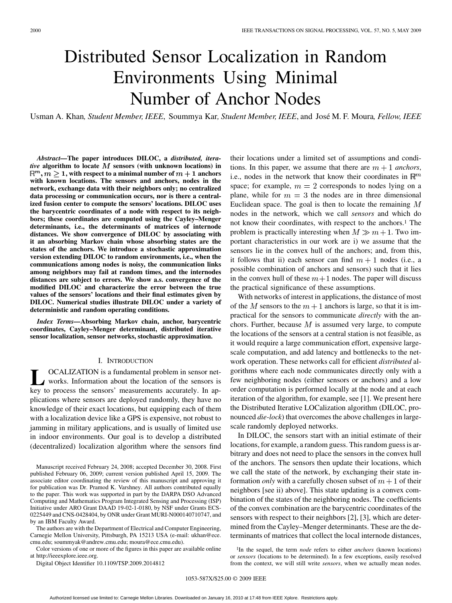# Distributed Sensor Localization in Random Environments Using Minimal Number of Anchor Nodes

Usman A. Khan*, Student Member, IEEE*, Soummya Kar*, Student Member, IEEE*, and José M. F. Moura*, Fellow, IEEE*

*Abstract—***The paper introduces DILOC, a** *distributed, iterative* algorithm to locate  $M$  sensors (with unknown locations) in 1, with respect to a minimal number of  $m + 1$  anchors **with known locations. The sensors and anchors, nodes in the network, exchange data with their neighbors only; no centralized data processing or communication occurs, nor is there a centralized fusion center to compute the sensors' locations. DILOC uses the barycentric coordinates of a node with respect to its neighbors; these coordinates are computed using the Cayley–Menger determinants, i.e., the determinants of matrices of internode distances. We show convergence of DILOC by associating with it an absorbing Markov chain whose absorbing states are the states of the anchors. We introduce a stochastic approximation version extending DILOC to random environments, i.e., when the communications among nodes is noisy, the communication links among neighbors may fail at random times, and the internodes distances are subject to errors. We show a.s. convergence of the modified DILOC and characterize the error between the true values of the sensors' locations and their final estimates given by DILOC. Numerical studies illustrate DILOC under a variety of deterministic and random operating conditions.**

*Index Terms—***Absorbing Markov chain, anchor, barycentric coordinates, Cayley–Menger determinant, distributed iterative sensor localization, sensor networks, stochastic approximation.**

# I. INTRODUCTION

**L** OCALIZATION is a fundamental problem in sensor networks. Information about the location of the sensors is key to process the sensors' measurements accurately. In applications where sensors are deployed randomly, they have no knowledge of their exact locations, but equipping each of them with a localization device like a GPS is expensive, not robust to jamming in military applications, and is usually of limited use in indoor environments. Our goal is to develop a distributed (decentralized) localization algorithm where the sensors find

The authors are with the Department of Electrical and Computer Engineering, Carnegie Mellon University, Pittsburgh, PA 15213 USA (e-mail: ukhan@ece. cmu.edu; soummyak@andrew.cmu.edu; moura@ece.cmu.edu).

Color versions of one or more of the figures in this paper are available online at http://ieeexplore.ieee.org.

Digital Object Identifier 10.1109/TSP.2009.2014812

their locations under a limited set of assumptions and conditions. In this paper, we assume that there are  $m + 1$  anchors, i.e., nodes in the network that know their coordinates in  $\mathbb{R}^m$ space; for example,  $m = 2$  corresponds to nodes lying on a plane, while for  $m = 3$  the nodes are in three dimensional Euclidean space. The goal is then to locate the remaining  $M$ nodes in the network, which we call *sensors* and which do not know their coordinates, with respect to the anchors.1 The problem is practically interesting when  $M \gg m + 1$ . Two important characteristics in our work are i) we assume that the sensors lie in the convex hull of the anchors; and, from this, it follows that ii) each sensor can find  $m + 1$  nodes (i.e., a possible combination of anchors and sensors) such that it lies in the convex hull of these  $m+1$  nodes. The paper will discuss the practical significance of these assumptions.

With networks of interest in applications, the distance of most of the M sensors to the  $m+1$  anchors is large, so that it is impractical for the sensors to communicate *directly* with the anchors. Further, because  $M$  is assumed very large, to compute the locations of the sensors at a central station is not feasible, as it would require a large communication effort, expensive largescale computation, and add latency and bottlenecks to the network operation. These networks call for efficient *distributed* algorithms where each node communicates directly only with a few neighboring nodes (either sensors or anchors) and a low order computation is performed locally at the node and at each iteration of the algorithm, for example, see [1]. We present here the Distributed Iterative LOCalization algorithm (DILOC, pronounced *die-lock*) that overcomes the above challenges in largescale randomly deployed networks.

In DILOC, the sensors start with an initial estimate of their locations, for example, a random guess. This random guess is arbitrary and does not need to place the sensors in the convex hull of the anchors. The sensors then update their locations, which we call the state of the network, by exchanging their state information *only* with a carefully chosen subset of  $m + 1$  of their neighbors [see ii) above]. This state updating is a convex combination of the states of the neighboring nodes. The coefficients of the convex combination are the barycentric coordinates of the sensors with respect to their neighbors [2], [3], which are determined from the Cayley–Menger determinants. These are the determinants of matrices that collect the local internode distances,

<sup>1</sup>In the sequel, the term *node* refers to either *anchors* (known locations) or *sensors* (locations to be determined). In a few exceptions, easily resolved from the context, we will still write *sensors*, when we actually mean nodes.

Manuscript received February 24, 2008; accepted December 30, 2008. First published February 06, 2009; current version published April 15, 2009. The associate editor coordinating the review of this manuscript and approving it for publication was Dr. Pramod K. Varshney. All authors contributed equally to the paper. This work was supported in part by the DARPA DSO Advanced Computing and Mathematics Program Integrated Sensing and Processing (ISP) Initiative under ARO Grant DAAD 19-02-1-0180, by NSF under Grants ECS-0225449 and CNS-0428404, by ONR under Grant MURI-N000140710747, and by an IBM Faculty Award.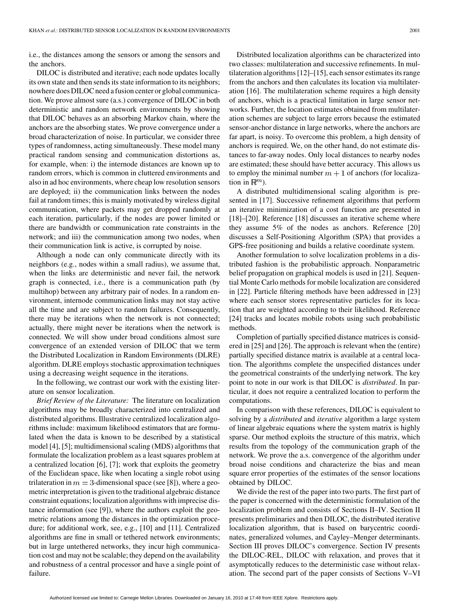i.e., the distances among the sensors or among the sensors and the anchors.

DILOC is distributed and iterative; each node updates locally its own state and then sends its state information to its neighbors; nowhere does DILOC need a fusion center or global communication. We prove almost sure (a.s.) convergence of DILOC in both deterministic and random network environments by showing that DILOC behaves as an absorbing Markov chain, where the anchors are the absorbing states. We prove convergence under a broad characterization of noise. In particular, we consider three types of randomness, acting simultaneously. These model many practical random sensing and communication distortions as, for example, when: i) the internode distances are known up to random errors, which is common in cluttered environments and also in ad hoc environments, where cheap low resolution sensors are deployed; ii) the communication links between the nodes fail at random times; this is mainly motivated by wireless digital communication, where packets may get dropped randomly at each iteration, particularly, if the nodes are power limited or there are bandwidth or communication rate constraints in the network; and iii) the communication among two nodes, when their communication link is active, is corrupted by noise.

Although a node can only communicate directly with its neighbors (e.g., nodes within a small radius), we assume that, when the links are deterministic and never fail, the network graph is connected, i.e., there is a communication path (by multihop) between any arbitrary pair of nodes. In a random environment, internode communication links may not stay active all the time and are subject to random failures. Consequently, there may be iterations when the network is not connected; actually, there might never be iterations when the network is connected. We will show under broad conditions almost sure convergence of an extended version of DILOC that we term the Distributed Localization in Random Environments (DLRE) algorithm. DLRE employs stochastic approximation techniques using a decreasing weight sequence in the iterations.

In the following, we contrast our work with the existing literature on sensor localization.

*Brief Review of the Literature:* The literature on localization algorithms may be broadly characterized into centralized and distributed algorithms. Illustrative centralized localization algorithms include: maximum likelihood estimators that are formulated when the data is known to be described by a statistical model [4], [5]; multidimensional scaling (MDS) algorithms that formulate the localization problem as a least squares problem at a centralized location [6], [7]; work that exploits the geometry of the Euclidean space, like when locating a single robot using trilateration in  $m = 3$ -dimensional space (see [8]), where a geometric interpretation is given to the traditional algebraic distance constraint equations; localization algorithms with imprecise distance information (see [9]), where the authors exploit the geometric relations among the distances in the optimization procedure; for additional work, see, e.g., [10] and [11]. Centralized algorithms are fine in small or tethered network environments; but in large untethered networks, they incur high communication cost and may not be scalable; they depend on the availability and robustness of a central processor and have a single point of failure.

Distributed localization algorithms can be characterized into two classes: multilateration and successive refinements. In multilateration algorithms [12]–[15], each sensor estimates its range from the anchors and then calculates its location via multilateration [16]. The multilateration scheme requires a high density of anchors, which is a practical limitation in large sensor networks. Further, the location estimates obtained from multilateration schemes are subject to large errors because the estimated sensor-anchor distance in large networks, where the anchors are far apart, is noisy. To overcome this problem, a high density of anchors is required. We, on the other hand, do not estimate distances to far-away nodes. Only local distances to nearby nodes are estimated; these should have better accuracy. This allows us to employ the minimal number  $m + 1$  of anchors (for localization in  $\mathbb{R}^m$ ).

A distributed multidimensional scaling algorithm is presented in [17]. Successive refinement algorithms that perform an iterative minimization of a cost function are presented in [18]–[20]. Reference [18] discusses an iterative scheme where they assume 5% of the nodes as anchors. Reference [20] discusses a Self-Positioning Algorithm (SPA) that provides a GPS-free positioning and builds a relative coordinate system.

Another formulation to solve localization problems in a distributed fashion is the probabilistic approach. Nonparametric belief propagation on graphical models is used in [21]. Sequential Monte Carlo methods for mobile localization are considered in [22]. Particle filtering methods have been addressed in [23] where each sensor stores representative particles for its location that are weighted according to their likelihood. Reference [24] tracks and locates mobile robots using such probabilistic methods.

Completion of partially specified distance matrices is considered in [25] and [26]. The approach is relevant when the (entire) partially specified distance matrix is available at a central location. The algorithms complete the unspecified distances under the geometrical constraints of the underlying network. The key point to note in our work is that DILOC is *distributed*. In particular, it does not require a centralized location to perform the computations.

In comparison with these references, DILOC is equivalent to solving by a *distributed* and *iterative* algorithm a large system of linear algebraic equations where the system matrix is highly sparse. Our method exploits the structure of this matrix, which results from the topology of the communication graph of the network. We prove the a.s. convergence of the algorithm under broad noise conditions and characterize the bias and mean square error properties of the estimates of the sensor locations obtained by DILOC.

We divide the rest of the paper into two parts. The first part of the paper is concerned with the deterministic formulation of the localization problem and consists of Sections II–IV. Section II presents preliminaries and then DILOC, the distributed iterative localization algorithm, that is based on barycentric coordinates, generalized volumes, and Cayley–Menger determinants. Section III proves DILOC's convergence. Section IV presents the DILOC-REL, DILOC with relaxation, and proves that it asymptotically reduces to the deterministic case without relaxation. The second part of the paper consists of Sections V–VI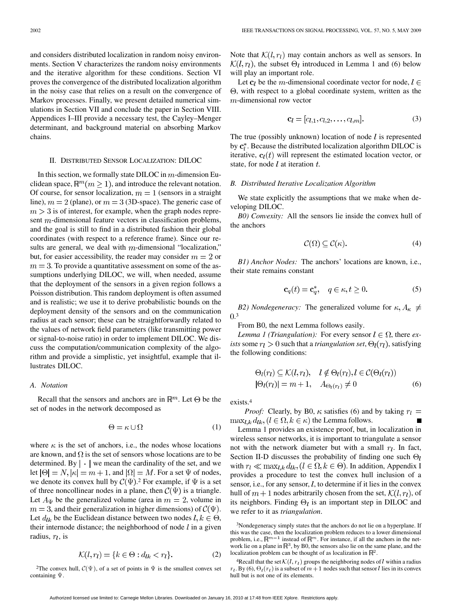and considers distributed localization in random noisy environments. Section V characterizes the random noisy environments and the iterative algorithm for these conditions. Section VI proves the convergence of the distributed localization algorithm in the noisy case that relies on a result on the convergence of Markov processes. Finally, we present detailed numerical simulations in Section VII and conclude the paper in Section VIII. Appendices I–III provide a necessary test, the Cayley–Menger determinant, and background material on absorbing Markov chains.

#### II. DISTRIBUTED SENSOR LOCALIZATION: DILOC

In this section, we formally state DILOC in  $m$ -dimension Euclidean space,  $\mathbb{R}^m$  $(m \geq 1)$ , and introduce the relevant notation. Of course, for sensor localization,  $m = 1$  (sensors in a straight line),  $m = 2$  (plane), or  $m = 3$  (3D-space). The generic case of  $m > 3$  is of interest, for example, when the graph nodes represent  $m$ -dimensional feature vectors in classification problems, and the goal is still to find in a distributed fashion their global coordinates (with respect to a reference frame). Since our results are general, we deal with  $m$ -dimensional "localization," but, for easier accessibility, the reader may consider  $m = 2$  or  $m = 3$ . To provide a quantitative assessment on some of the assumptions underlying DILOC, we will, when needed, assume that the deployment of the sensors in a given region follows a Poisson distribution. This random deployment is often assumed and is realistic; we use it to derive probabilistic bounds on the deployment density of the sensors and on the communication radius at each sensor; these can be straightforwardly related to the values of network field parameters (like transmitting power or signal-to-noise ratio) in order to implement DILOC. We discuss the computation/communication complexity of the algorithm and provide a simplistic, yet insightful, example that illustrates DILOC.

#### *A. Notation*

Recall that the sensors and anchors are in  $\mathbb{R}^m$ . Let  $\Theta$  be the set of nodes in the network decomposed as

$$
\Theta = \kappa \cup \Omega \tag{1}
$$

where  $\kappa$  is the set of anchors, i.e., the nodes whose locations are known, and  $\Omega$  is the set of sensors whose locations are to be determined. By  $\vert \cdot \vert$  we mean the cardinality of the set, and we let  $|\Theta| = N$ ,  $|\kappa| = m + 1$ , and  $|\Omega| = M$ . For a set  $\Psi$  of nodes, we denote its convex hull by  $C(\Psi)$ . For example, if  $\Psi$  is a set of three noncollinear nodes in a plane, then  $\mathcal{C}(\Psi)$  is a triangle. Let  $A_{\Psi}$  be the generalized volume (area in  $m = 2$ , volume in  $m = 3$ , and their generalization in higher dimensions) of  $\mathcal{C}(\Psi)$ . Let  $d_{lk}$  be the Euclidean distance between two nodes  $l, k \in \Theta$ , their internode distance; the neighborhood of node  $l$  in a given radius,  $r_l$ , is

$$
\mathcal{K}(l, r_l) = \{k \in \Theta : d_{lk} < r_l\}.\tag{2}
$$

<sup>2</sup>The convex hull,  $C(\Psi)$ , of a set of points in  $\Psi$  is the smallest convex set containing  $\Psi$ .

Note that  $\mathcal{K}(l,r_l)$  may contain anchors as well as sensors. In  $\mathcal{K}(l, r_l)$ , the subset  $\Theta_l$  introduced in Lemma 1 and (6) below will play an important role.

Let  $c_l$  be the m-dimensional coordinate vector for node,  $l \in$  $\Theta$ , with respect to a global coordinate system, written as the  $m$ -dimensional row vector

$$
\mathbf{c}_l = [c_{l,1}, c_{l,2}, \dots, c_{l,m}]. \tag{3}
$$

The true (possibly unknown) location of node  $l$  is represented by  $c_i^*$ . Because the distributed localization algorithm DILOC is iterative,  $\mathbf{c}_l(t)$  will represent the estimated location vector, or state, for node  $l$  at iteration  $t$ .

## *B. Distributed Iterative Localization Algorithm*

We state explicitly the assumptions that we make when developing DILOC.

*B0) Convexity:* All the sensors lie inside the convex hull of the anchors

$$
\mathcal{C}(\Omega) \subseteq \mathcal{C}(\kappa). \tag{4}
$$

*B1) Anchor Nodes:* The anchors' locations are known, i.e., their state remains constant

$$
\mathbf{c}_q(t) = \mathbf{c}_q^*, \quad q \in \kappa, t \ge 0. \tag{5}
$$

*B2) Nondegeneracy:* The generalized volume for  $\kappa, A_{\kappa} \neq$ .3

From B0, the next Lemma follows easily.

*Lemma 1 (Triangulation):* For every sensor  $l \in \Omega$ , there ex*ists* some  $r_l > 0$  such that a *triangulation set*,  $\Theta_l(r_l)$ , satisfying the following conditions:

$$
\Theta_l(r_l) \subseteq \mathcal{K}(l, r_l), \quad l \notin \Theta_l(r_l), l \in \mathcal{C}(\Theta_l(r_l))
$$
  

$$
|\Theta_l(r_l)| = m + 1, \quad A_{\Theta_l(r_l)} \neq 0
$$
 (6)

exists.4

*Proof:* Clearly, by B0,  $\kappa$  satisfies (6) and by taking  $r_l =$  $\max_{l,k} d_{lk}, (l \in \Omega, k \in \kappa)$  the Lemma follows.

Lemma 1 provides an existence proof, but, in localization in wireless sensor networks, it is important to triangulate a sensor not with the network diameter but with a small  $r_l$ . In fact, Section II-D discusses the probability of finding one such  $\Theta_l$ with  $r_l \ll \max_{l,k} d_{lk}$ ,  $(l \in \Omega, k \in \Theta)$ . In addition, Appendix I provides a procedure to test the convex hull inclusion of a sensor, i.e., for any sensor,  $l$ , to determine if it lies in the convex hull of  $m+1$  nodes arbitrarily chosen from the set,  $\mathcal{K}(l, r_l)$ , of its neighbors. Finding  $\Theta_l$  is an important step in DILOC and we refer to it as *triangulation*.

<sup>3</sup>Nondegeneracy simply states that the anchors do not lie on a hyperplane. If this was the case, then the localization problem reduces to a lower dimensional problem, i.e.,  $\mathbb{R}^{m-1}$  instead of  $\mathbb{R}^m.$  For instance, if all the anchors in the network lie on a plane in  $\mathbb{R}^3$ , by B0, the sensors also lie on the same plane, and the localization problem can be thought of as localization in  $\mathbb{R}^2$ .

<sup>4</sup>Recall that the set  $\mathcal{K}(l, r_l)$  groups the neighboring nodes of l within a radius  $r_l$ . By (6),  $\Theta_l(r_l)$  is a subset of  $m+1$  nodes such that sensor l lies in its convex hull but is not one of its elements.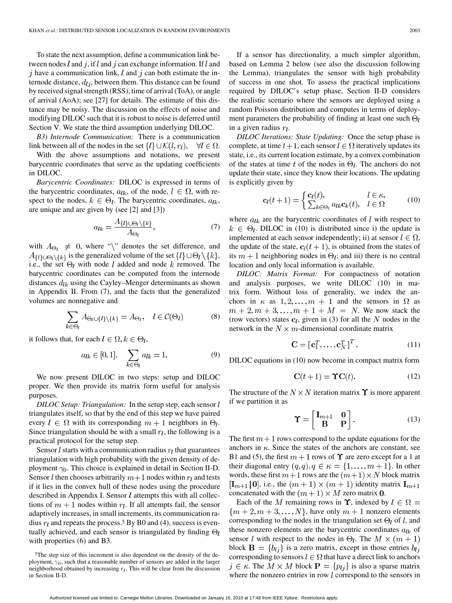To state the next assumption, define a communication link between nodes l and j, if l and j can exchange information. If l and j have a communication link,  $l$  and  $j$  can both estimate the internode distance,  $d_{ij}$ , between them. This distance can be found by received signal strength (RSS), time of arrival (ToA), or angle of arrival (AoA); see [27] for details. The estimate of this distance may be noisy. The discussion on the effects of noise and modifying DILOC such that it is robust to noise is deferred until Section V. We state the third assumption underlying DILOC.

*B3) Internode Communication:* There is a communication link between all of the nodes in the set  $\{l\} \cup \mathcal{K}(l, r_l)$ ,  $\forall l \in \Omega$ .

With the above assumptions and notations, we present barycentric coordinates that serve as the updating coefficients in DILOC.

*Barycentric Coordinates:* DILOC is expressed in terms of the barycentric coordinates,  $a_{lk}$ , of the node,  $l \in \Omega$ , with respect to the nodes,  $k \in \Theta_l$ . The barycentric coordinates,  $a_{lk}$ , are unique and are given by (see [2] and [3])

$$
a_{lk} = \frac{A_{\{l\} \cup \Theta_l \setminus \{k\}}}{A_{\Theta_l}},\tag{7}
$$

with  $A_{\Theta_l} \neq 0$ , where "'' denotes the set difference, and  $A_{\{l\} \cup \Theta_l \setminus \{k\}}$  is the generalized volume of the set  $\{l\} \cup \Theta_l \setminus \{k\},\$ i.e., the set  $\Theta_l$  with node l added and node k removed. The barycentric coordinates can be computed from the internode distances  $d_{lk}$  using the Cayley–Menger determinants as shown in Appendix II. From (7), and the facts that the generalized volumes are nonnegative and

$$
\sum_{k \in \Theta_l} A_{\Theta_l \cup \{l\} \setminus \{k\}} = A_{\Theta_l}, \quad l \in \mathcal{C}(\Theta_l) \tag{8}
$$

it follows that, for each  $l \in \Omega, k \in \Theta_l$ ,

$$
a_{lk} \in [0, 1], \quad \sum_{k \in \Theta_l} a_{lk} = 1. \tag{9}
$$

We now present DILOC in two steps: setup and DILOC proper. We then provide its matrix form useful for analysis purposes.

*DILOC Setup: Triangulation:* In the setup step, each sensor l triangulates itself, so that by the end of this step we have paired every  $l \in \Omega$  with its corresponding  $m+1$  neighbors in  $\Theta_l$ . Since triangulation should be with a small  $r_l$ , the following is a practical protocol for the setup step.

Sensor  $l$  starts with a communication radius  $r_l$  that guarantees triangulation with high probability with the given density of deployment  $\gamma_0$ . This choice is explained in detail in Section II-D. Sensor l then chooses arbitrarily  $m+1$  nodes within  $r_l$  and tests if it lies in the convex hull of these nodes using the procedure described in Appendix I. Sensor  $l$  attempts this with all collections of  $m+1$  nodes within  $r_l$ . If all attempts fail, the sensor adaptively increases, in small increments, its communication radius  $r_l$  and repeats the process.<sup>5</sup> By B0 and (4), success is eventually achieved, and each sensor is triangulated by finding  $\Theta_l$ with properties  $(6)$  and B3.

If a sensor has directionality, a much simpler algorithm, based on Lemma 2 below (see also the discussion following the Lemma), triangulates the sensor with high probability of success in one shot. To assess the practical implications required by DILOC's setup phase, Section II-D considers the realistic scenario where the sensors are deployed using a random Poisson distribution and computes in terms of deployment parameters the probability of finding at least one such  $\Theta_l$ in a given radius  $r_l$ .

*DILOC Iterations: State Updating:* Once the setup phase is complete, at time  $t + 1$ , each sensor  $l \in \Omega$  iteratively updates its state, i.e., its current location estimate, by a convex combination of the states at time t of the nodes in  $\Theta_l$ . The anchors do not update their state, since they know their locations. The updating is explicitly given by

$$
\mathbf{c}_{l}(t+1) = \begin{cases} \mathbf{c}_{l}(t), & l \in \kappa, \\ \sum_{k \in \Theta_{l}} a_{lk} \mathbf{c}_{k}(t), & l \in \Omega \end{cases}
$$
(10)

where  $a_{lk}$  are the barycentric coordinates of  $l$  with respect to  $k \in \Theta_l$ . DILOC in (10) is distributed since i) the update is implemented at each sensor independently; ii) at sensor  $l \in \Omega$ , the update of the state,  $c_l(t + 1)$ , is obtained from the states of its  $m + 1$  neighboring nodes in  $\Theta_l$ ; and iii) there is no central location and only local information is available.

*DILOC: Matrix Format:* For compactness of notation and analysis purposes, we write DILOC (10) in matrix form. Without loss of generality, we index the anchors in  $\kappa$  as  $1, 2, ..., m + 1$  and the sensors in  $\Omega$  as  $m + 2, m + 3, ..., m + 1 + M = N$ . We now stack the (row vectors) states  $c_l$ , given in (3) for all the N nodes in the network in the  $N \times m$ -dimensional coordinate matrix

$$
\mathbf{C} = [\mathbf{c}_1^T, \dots, \mathbf{c}_N^T]^T. \tag{11}
$$

DILOC equations in (10) now become in compact matrix form

$$
\mathbf{C}(t+1) = \mathbf{\Upsilon}\mathbf{C}(t). \tag{12}
$$

The structure of the  $N \times N$  iteration matrix  $\Upsilon$  is more apparent if we partition it as

$$
\mathbf{\hat{T}} = \begin{bmatrix} \mathbf{I}_{m+1} & \mathbf{0} \\ \mathbf{B} & \mathbf{P} \end{bmatrix} . \tag{13}
$$

The first  $m+1$  rows correspond to the update equations for the anchors in  $\kappa$ . Since the states of the anchors are constant, see B1 and (5), the first  $m + 1$  rows of  $\Upsilon$  are zero except for a 1 at their diagonal entry  $(q, q), q \in \kappa = \{1, \ldots, m + 1\}$ . In other words, these first  $m+1$  rows are the  $(m+1) \times N$  block matrix  $[\mathbf{I}_{m+1} | \mathbf{0}]$ , i.e., the  $(m+1) \times (m+1)$  identity matrix  $\mathbf{I}_{m+1}$ concatenated with the  $(m + 1) \times M$  zero matrix 0.

Each of the M remaining rows in  $\Upsilon$ , indexed by  $l \in \Omega$  =  $\{m+2, m+3, \ldots, N\}$ , have only  $m+1$  nonzero elements corresponding to the nodes in the triangulation set  $\Theta_l$  of l, and these nonzero elements are the barycentric coordinates  $a_{lk}$  of sensor l with respect to the nodes in  $\Theta_l$ . The  $M \times (m + 1)$ block  $\mathbf{B} = \{b_{lj}\}\$ is a zero matrix, except in those entries  $b_{lj}$ corresponding to sensors  $l \in \Omega$  that have a direct link to anchors  $j \in \kappa$ . The  $M \times M$  block  $P = \{p_{lj}\}\$ is also a sparse matrix where the nonzero entries in row  $l$  correspond to the sensors in

<sup>5</sup>The step size of this increment is also dependent on the density of the deployment,  $\gamma_0$ , such that a reasonable number of sensors are added in the larger neighborhood obtained by increasing  $r_l$ . This will be clear from the discussion in Section II-D.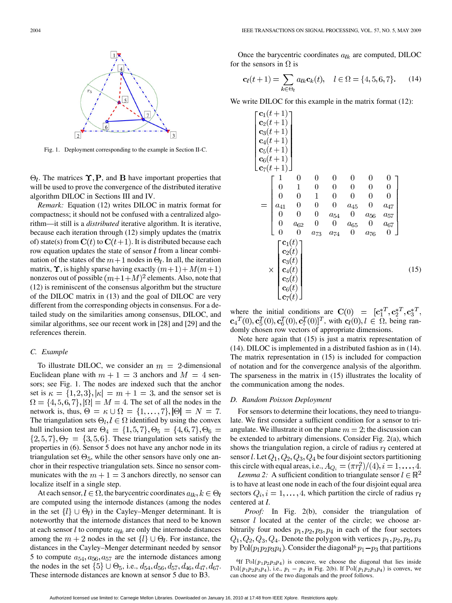

Fig. 1. Deployment corresponding to the example in Section II-C.

 $\Theta_l$ . The matrices  $\Upsilon$ , P, and B have important properties that will be used to prove the convergence of the distributed iterative algorithm DILOC in Sections III and IV.

*Remark:* Equation (12) writes DILOC in matrix format for compactness; it should not be confused with a centralized algorithm—it still is a *distributed* iterative algorithm. It is iterative, because each iteration through (12) simply updates the (matrix of) state(s) from  $C(t)$  to  $C(t+1)$ . It is distributed because each row equation updates the state of sensor  $l$  from a linear combination of the states of the  $m+1$  nodes in  $\Theta_l$ . In all, the iteration matrix,  $\Upsilon$ , is highly sparse having exactly  $(m+1) + M(m+1)$ nonzeros out of possible  $(m+1+M)^2$  elements. Also, note that (12) is reminiscent of the consensus algorithm but the structure of the DILOC matrix in (13) and the goal of DILOC are very different from the corresponding objects in consensus. For a detailed study on the similarities among consensus, DILOC, and similar algorithms, see our recent work in [28] and [29] and the references therein.

# *C. Example*

To illustrate DILOC, we consider an  $m = 2$ -dimensional Euclidean plane with  $m + 1 = 3$  anchors and  $M = 4$  sensors; see Fig. 1. The nodes are indexed such that the anchor set is  $\kappa = \{1, 2, 3\}, |\kappa| = m + 1 = 3$ , and the sensor set is  $\Omega = \{4, 5, 6, 7\}, |\Omega| = M = 4$ . The set of all the nodes in the network is, thus,  $\Theta = \kappa \cup \Omega = \{1, \ldots, 7\}, |\Theta| = N = 7.$ The triangulation sets  $\Theta_l, l \in \Omega$  identified by using the convex hull inclusion test are  $\Theta_4 = \{1, 5, 7\}, \Theta_5 = \{4, 6, 7\}, \Theta_6 =$  $\{2, 5, 7\}, \Theta_7 = \{3, 5, 6\}.$  These triangulation sets satisfy the properties in (6). Sensor 5 does not have any anchor node in its triangulation set  $\Theta_5$ , while the other sensors have only one anchor in their respective triangulation sets. Since no sensor communicates with the  $m + 1 = 3$  anchors directly, no sensor can localize itself in a single step.

At each sensor,  $l \in \Omega$ , the barycentric coordinates  $a_{lk}$ ,  $k \in \Theta_l$ are computed using the internode distances (among the nodes in the set  $\{l\} \cup \Theta_l$  in the Cayley–Menger determinant. It is noteworthy that the internode distances that need to be known at each sensor l to compute  $a_{lk}$  are only the internode distances among the  $m + 2$  nodes in the set  $\{l\} \cup \Theta_l$ . For instance, the distances in the Cayley–Menger determinant needed by sensor 5 to compute  $a_{54}, a_{56}, a_{57}$  are the internode distances among the nodes in the set  $\{5\} \cup \Theta_5$ , i.e.,  $d_{54}$ ,  $d_{56}$ ,  $d_{57}$ ,  $d_{46}$ ,  $d_{47}$ ,  $d_{67}$ . These internode distances are known at sensor 5 due to B3.

Once the barycentric coordinates  $a_{lk}$  are computed, DILOC for the sensors in  $\Omega$  is

$$
\mathbf{c}_l(t+1) = \sum_{k \in \Theta_l} a_{lk} \mathbf{c}_k(t), \quad l \in \Omega = \{4, 5, 6, 7\}.
$$
 (14)

We write DILOC for this example in the matrix format  $(12)$ :

$$
\begin{bmatrix}\nc_1(t+1) \\
c_2(t+1) \\
c_3(t+1) \\
c_5(t+1) \\
c_6(t+1) \\
c_7(t+1)\n\end{bmatrix}
$$
\n
$$
= \begin{bmatrix}\n1 & 0 & 0 & 0 & 0 & 0 & 0 \\
0 & 1 & 0 & 0 & 0 & 0 & 0 \\
0 & 0 & 1 & 0 & 0 & 0 & 0 \\
0 & 0 & 1 & 0 & 0 & 0 & 0 \\
a_{41} & 0 & 0 & 0 & a_{45} & 0 & a_{47} \\
0 & 0 & 0 & a_{54} & 0 & a_{56} & a_{57} \\
0 & a_{62} & 0 & 0 & a_{65} & 0 & a_{67} \\
0 & 0 & a_{73} & a_{74} & 0 & a_{76} & 0\n\end{bmatrix}
$$
\n
$$
\times \begin{bmatrix}\nc_1(t) \\
c_2(t) \\
c_3(t) \\
c_4(t) \\
c_5(t) \\
c_6(t) \\
c_7(t)\n\end{bmatrix}
$$
\n(15)

where the initial conditions are  $C(0) = [c_1^{*T}, c_2^{*T}, c_3^{*T},$  ${\bf c}_4^T(0), {\bf c}_5^T(0), {\bf c}_6^T(0), {\bf c}_7^T(0)]^T$ , with  ${\bf c}_l(0), l \in \Omega$ , being randomly chosen row vectors of appropriate dimensions.

Note here again that (15) is just a matrix representation of (14). DILOC is implemented in a distributed fashion as in (14). The matrix representation in (15) is included for compaction of notation and for the convergence analysis of the algorithm. The sparseness in the matrix in (15) illustrates the locality of the communication among the nodes.

## *D. Random Poisson Deployment*

For sensors to determine their locations, they need to triangulate. We first consider a sufficient condition for a sensor to triangulate. We illustrate it on the plane  $m = 2$ ; the discussion can be extended to arbitrary dimensions. Consider Fig. 2(a), which shows the triangulation region, a circle of radius  $r_l$  centered at sensor l. Let  $Q_1, Q_2, Q_3, Q_4$  be four disjoint sectors partitioning this circle with equal areas, i.e.,  $A_{Q_i} = (\pi r_i^2)/(4), i = 1, \ldots, 4$ .

*Lemma 2:* A sufficient condition to triangulate sensor  $l \in \mathbb{R}^2$ is to have at least one node in each of the four disjoint equal area sectors  $Q_i$ ,  $i = 1, ..., 4$ , which partition the circle of radius  $r_l$ centered at *l*.

*Proof:* In Fig. 2(b), consider the triangulation of sensor  $l$  located at the center of the circle; we choose arbitrarily four nodes  $p_1, p_2, p_3, p_4$  in each of the four sectors  $Q_1, Q_2, Q_3, Q_4$ . Denote the polygon with vertices  $p_1, p_2, p_3, p_4$ 

by  $Pol(p_1p_2p_3p_4)$ . Consider the diagonal<sup>6</sup>  $p_1 - p_3$  that partitions<br><sup>6</sup>If  $Pol(p_1p_2p_3p_4)$  is concave, we choose the diagonal that lies inside<br> $Pol(p_1p_2p_3p_4)$ , i.e.,  $p_1 - p_3$  in Fig. 2(b). If  $Pol(p_1p_2p_3p_4)$  is con <sup>6</sup>If  $Pol(p_1p_2p_3p_4)$  is concave, we choose the diagonal that lies inside  $Pol(p_1p_2p_3p_4)$ , i.e.,  $p_1 - p_3$  in Fig. 2(b). If  $Pol(p_1p_2p_3p_4)$  is convex, we can choose any of the two diagonals and the proof follows.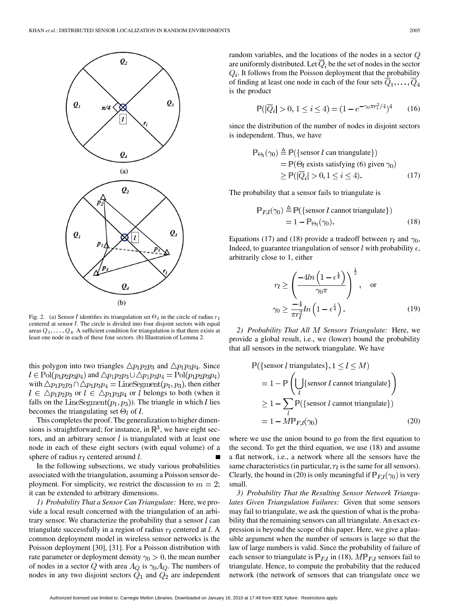

Fig. 2. (a) Sensor *l* identifies its triangulation set  $\Theta_l$  in the circle of radius r centered at sensor  $l$ . The circle is divided into four disjoint sectors with equal areas  $Q_1, \ldots, Q_4$ . A sufficient condition for triangulation is that there exists at least one node in each of these four sectors. (b) Illustration of Lemma 2.

this polygon into two triangles  $\triangle p_1 p_2 p_3$  and  $\triangle p_1 p_3 p_4$ . Since  $l \in \text{Pol}(p_1p_2p_3p_4)$  and  $\triangle p_1p_2p_3 \cup \triangle p_1p_3p_4 = \text{Pol}(p_1p_2p_3p_4)$ with  $\triangle p_1 p_2 p_3 \cap \triangle p_1 p_3 p_4 = \text{LineSegment}(p_1, p_3)$ , then either  $l \in \Delta p_1 p_2 p_3$  or  $l \in \Delta p_1 p_3 p_4$  or *l* belongs to both (when it falls on the LineSegment $(p_1, p_3)$ ). The triangle in which l lies becomes the triangulating set  $\Theta_l$  of l.

This completes the proof. The generalization to higher dimensions is straightforward; for instance, in  $\mathbb{R}^3$ , we have eight sectors, and an arbitrary sensor  $l$  is triangulated with at least one node in each of these eight sectors (with equal volume) of a sphere of radius  $r_l$  centered around  $l$ .

In the following subsections, we study various probabilities associated with the triangulation, assuming a Poisson sensor deployment. For simplicity, we restrict the discussion to  $m = 2$ ; it can be extended to arbitrary dimensions.

*1) Probability That a Sensor Can Triangulate:* Here, we provide a local result concerned with the triangulation of an arbitrary sensor. We characterize the probability that a sensor  $l$  can triangulate successfully in a region of radius  $r_l$  centered at  $l$ . A common deployment model in wireless sensor networks is the Poisson deployment [30], [31]. For a Poisson distribution with rate parameter or deployment density  $\gamma_0 > 0$ , the mean number of nodes in a sector Q with area  $A_Q$  is  $\gamma_0 A_Q$ . The numbers of nodes in any two disjoint sectors  $Q_1$  and  $Q_2$  are independent

$$
\mathbb{P}(|\overline{Q}_i| > 0, \, 1 \le i \le 4) = (1 - e^{-\gamma_0 \pi r_i^2 / 4})^4 \tag{16}
$$

since the distribution of the number of nodes in disjoint sectors is independent. Thus, we have

$$
\mathbb{P}_{\Theta_l}(\gamma_0) \triangleq \mathbb{P}(\{\text{sensor } l \text{ can triangle}\})
$$
  
=  $\mathbb{P}(\Theta_l \text{ exists satisfying (6) given } \gamma_0)$   
 $\geq \mathbb{P}(|\overline{Q}_i| > 0, 1 \leq i \leq 4).$  (17)

The probability that a sensor fails to triangulate is

$$
\mathbb{P}_{F,l}(\gamma_0) \triangleq \mathbb{P}(\{\text{sensor } l \text{ cannot triangle}\})
$$
  
= 1 - \mathbb{P}\_{\Theta\_l}(\gamma\_0). (18)

Equations (17) and (18) provide a tradeoff between  $r_l$  and  $\gamma_0$ , Indeed, to guarantee triangulation of sensor  $l$  with probability  $\epsilon$ , arbitrarily close to 1, either

$$
r_l \ge \left(\frac{-4ln\left(1 - \epsilon^{\frac{1}{4}}\right)}{\gamma_0 \pi}\right)^{\frac{1}{2}}, \quad \text{or}
$$

$$
\gamma_0 \ge \frac{-4}{\pi r_l^2} ln\left(1 - \epsilon^{\frac{1}{4}}\right). \tag{19}
$$

*2) Probability That All Sensors Triangulate:* Here, we provide a global result, i.e., we (lower) bound the probability that all sensors in the network triangulate. We have

$$
\mathbb{P}(\{\text{sensor } l \text{ triangulates}\}, 1 \le l \le M)
$$
  
= 1 -  $\mathbb{P}\left(\bigcup_{l} \{\text{sensor } l \text{ cannot triangle}\}\right)$   
 $\ge 1 - \sum_{l} \mathbb{P}(\{\text{sensor } l \text{ cannot triangle}\})$   
= 1 - MP<sub>F,l</sub>( $\gamma_0$ ) (20)

where we use the union bound to go from the first equation to the second. To get the third equation, we use (18) and assume a flat network, i.e., a network where all the sensors have the same characteristics (in particular,  $r_l$  is the same for all sensors). Clearly, the bound in (20) is only meaningful if  $\mathbb{P}_{F,l}(\gamma_0)$  is very small.

*3) Probability That the Resulting Sensor Network Triangulates Given Triangulation Failures:* Given that some sensors may fail to triangulate, we ask the question of what is the probability that the remaining sensors can all triangulate. An exact expression is beyond the scope of this paper. Here, we give a plausible argument when the number of sensors is large so that the law of large numbers is valid. Since the probability of failure of each sensor to triangulate is  $P_{F,l}$  in (18),  $M P_{F,l}$  sensors fail to triangulate. Hence, to compute the probability that the reduced network (the network of sensors that can triangulate once we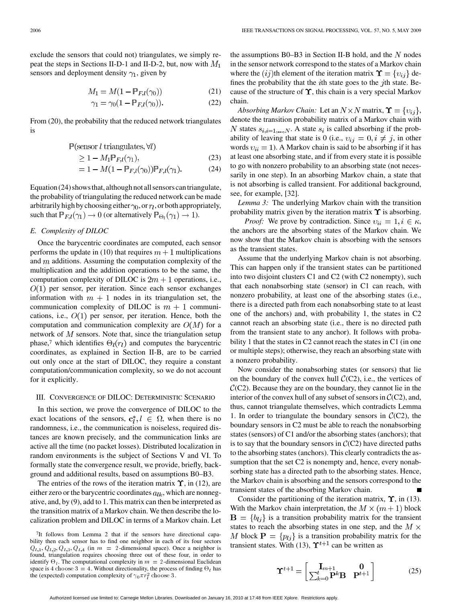exclude the sensors that could not) triangulates, we simply repeat the steps in Sections II-D-1 and II-D-2, but, now with  $M_1$ sensors and deployment density  $\gamma_1$ , given by

$$
M_1 = M(1 - \mathbb{P}_{F,l}(\gamma_0))\tag{21}
$$

$$
\gamma_1 = \gamma_0 (1 - \mathbb{P}_{F,l}(\gamma_0)). \tag{22}
$$

From (20), the probability that the reduced network triangulates is

$$
P(\text{sensor } l \text{ triangulates}, \forall l)
$$

$$
\geq 1 - M_1 \mathbb{P}_{F,l}(\gamma_1),\tag{23}
$$

$$
= 1 - M(1 - \mathbb{P}_{F,l}(\gamma_0)) \mathbb{P}_{F,l}(\gamma_1).
$$
 (24)

Equation (24) shows that, although not all sensors can triangulate, the probability of triangulating the reduced network can be made arbitrarily high by choosing either  $\gamma_0$ , or  $r_l$ , or both appropriately, such that  $\mathbb{P}_{F,l}(\gamma_1) \to 0$  (or alternatively  $\mathbb{P}_{\Theta_l}(\gamma_1) \to 1$ ).

# *E. Complexity of DILOC*

Once the barycentric coordinates are computed, each sensor performs the update in (10) that requires  $m+1$  multiplications and  $m$  additions. Assuming the computation complexity of the multiplication and the addition operations to be the same, the computation complexity of DILOC is  $2m + 1$  operations, i.e.,  $O(1)$  per sensor, per iteration. Since each sensor exchanges information with  $m + 1$  nodes in its triangulation set, the communication complexity of DILOC is  $m + 1$  communications, i.e.,  $O(1)$  per sensor, per iteration. Hence, both the computation and communication complexity are  $O(M)$  for a network of  $M$  sensors. Note that, since the triangulation setup phase,<sup>7</sup> which identifies  $\Theta_l(r_l)$  and computes the barycentric coordinates, as explained in Section II-B, are to be carried out only once at the start of DILOC, they require a constant computation/communication complexity, so we do not account for it explicitly.

## III. CONVERGENCE OF DILOC: DETERMINISTIC SCENARIO

In this section, we prove the convergence of DILOC to the exact locations of the sensors,  $c_l^*, l \in \Omega$ , when there is no randomness, i.e., the communication is noiseless, required distances are known precisely, and the communication links are active all the time (no packet losses). Distributed localization in random environments is the subject of Sections V and VI. To formally state the convergence result, we provide, briefly, background and additional results, based on assumptions B0–B3.

The entries of the rows of the iteration matrix  $\Upsilon$ , in (12), are either zero or the barycentric coordinates  $a_{lk}$ , which are nonnegative, and, by (9), add to 1. This matrix can then be interpreted as the transition matrix of a Markov chain. We then describe the localization problem and DILOC in terms of a Markov chain. Let

the assumptions  $B0-B3$  in Section II-B hold, and the N nodes in the sensor network correspond to the states of a Markov chain where the  $(ij)$ th element of the iteration matrix  $\Upsilon = \{v_{ij}\}\$  defines the probability that the  $i$ th state goes to the  $j$ th state. Because of the structure of  $\Upsilon$ , this chain is a very special Markov chain.

*Absorbing Markov Chain:* Let an  $N \times N$  matrix,  $\Upsilon = \{v_{ij}\},\$ denote the transition probability matrix of a Markov chain with N states  $s_{i,i=1,\dots,N}$ . A state  $s_i$  is called absorbing if the probability of leaving that state is 0 (i.e.,  $v_{ij} = 0, i \neq j$ , in other words  $v_{ii} = 1$ ). A Markov chain is said to be absorbing if it has at least one absorbing state, and if from every state it is possible to go with nonzero probability to an absorbing state (not necessarily in one step). In an absorbing Markov chain, a state that is not absorbing is called transient. For additional background, see, for example, [32].

*Lemma 3:* The underlying Markov chain with the transition probability matrix given by the iteration matrix  $\Upsilon$  is absorbing.

*Proof:* We prove by contradiction. Since  $v_{ii} = 1, i \in \kappa$ , the anchors are the absorbing states of the Markov chain. We now show that the Markov chain is absorbing with the sensors as the transient states.

Assume that the underlying Markov chain is not absorbing. This can happen only if the transient states can be partitioned into two disjoint clusters C1 and C2 (with C2 nonempty), such that each nonabsorbing state (sensor) in C1 can reach, with nonzero probability, at least one of the absorbing states (i.e., there is a directed path from each nonabsorbing state to at least one of the anchors) and, with probability 1, the states in C2 cannot reach an absorbing state (i.e., there is no directed path from the transient state to any anchor). It follows with probability 1 that the states in C2 cannot reach the states in C1 (in one or multiple steps); otherwise, they reach an absorbing state with a nonzero probability.

Now consider the nonabsorbing states (or sensors) that lie on the boundary of the convex hull  $C(C2)$ , i.e., the vertices of  $C(C2)$ . Because they are on the boundary, they cannot lie in the interior of the convex hull of any subset of sensors in  $C(C2)$ , and, thus, cannot triangulate themselves, which contradicts Lemma 1. In order to triangulate the boundary sensors in  $C(C2)$ , the boundary sensors in C2 must be able to reach the nonabsorbing states (sensors) of C1 and/or the absorbing states (anchors); that is to say that the boundary sensors in  $C(C2)$  have directed paths to the absorbing states (anchors). This clearly contradicts the assumption that the set C2 is nonempty and, hence, every nonabsorbing state has a directed path to the absorbing states. Hence, the Markov chain is absorbing and the sensors correspond to the transient states of the absorbing Markov chain.

Consider the partitioning of the iteration matrix,  $\Upsilon$ , in (13). With the Markov chain interpretation, the  $M \times (m+1)$  block  $\mathbf{B} = \{b_{lj}\}\$ is a transition probability matrix for the transient states to reach the absorbing states in one step, and the  $M \times$ M block  $P = \{p_{lj}\}\$ is a transition probability matrix for the transient states. With (13),  $\Upsilon^{t+1}$  can be written as

$$
\mathbf{\hat{Y}}^{t+1} = \begin{bmatrix} \mathbf{I}_{m+1} & \mathbf{0} \\ \sum_{k=0}^{t} \mathbf{P}^k \mathbf{B} & \mathbf{P}^{t+1} \end{bmatrix}
$$
 (25)

<sup>&</sup>lt;sup>7</sup>It follows from Lemma 2 that if the sensors have directional capability then each sensor has to find one neighbor in each of its four sectors  $Q_{l,1}, Q_{l,2}, Q_{l,3}, Q_{l,4}$  (in  $m = 2$ -dimensional space). Once a neighbor is found, triangulation requires choosing three out of these four, in order to identify  $\Theta_l$ . The computational complexity in  $m = 2$ -dimensional Euclidean space is 4 choose 3 = 4. Without directionality, the process of finding  $\Theta_l$  has the (expected) computation complexity of  $\gamma_0 \pi r_t^2$  choose 3.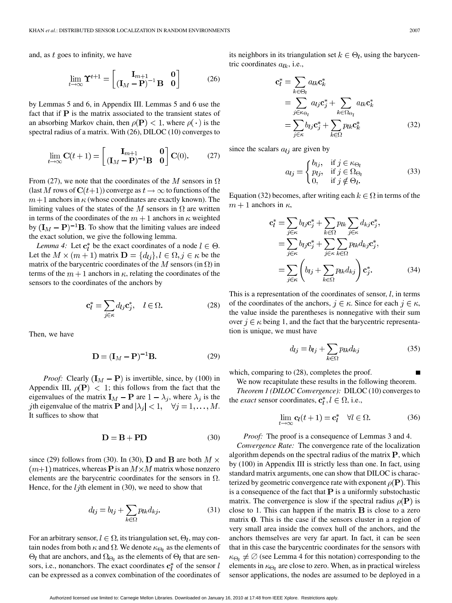and, as  $t$  goes to infinity, we have

$$
\lim_{t \to \infty} \mathbf{\Upsilon}^{t+1} = \begin{bmatrix} \mathbf{I}_{m+1} & \mathbf{0} \\ (\mathbf{I}_M - \mathbf{P})^{-1} \mathbf{B} & \mathbf{0} \end{bmatrix}
$$
(26)

by Lemmas 5 and 6, in Appendix III. Lemmas 5 and 6 use the fact that if  $P$  is the matrix associated to the transient states of an absorbing Markov chain, then  $\rho(\mathbf{P}) < 1$ , where  $\rho(\cdot)$  is the spectral radius of a matrix. With (26), DILOC (10) converges to

$$
\lim_{t \to \infty} \mathbf{C}(t+1) = \begin{bmatrix} \mathbf{I}_{m+1} & \mathbf{0} \\ (\mathbf{I}_M - \mathbf{P})^{-1} \mathbf{B} & \mathbf{0} \end{bmatrix} \mathbf{C}(0). \tag{27}
$$

From (27), we note that the coordinates of the M sensors in  $\Omega$ (last M rows of  $C(t+1)$ ) converge as  $t\to\infty$  to functions of the  $m+1$  anchors in  $\kappa$  (whose coordinates are exactly known). The limiting values of the states of the M sensors in  $\Omega$  are written in terms of the coordinates of the  $m + 1$  anchors in  $\kappa$  weighted by  $({\bf I}_M - {\bf P})^{-1}$ **B**. To show that the limiting values are indeed the exact solution, we give the following lemma.

*Lemma 4:* Let  $\mathbf{c}_l^*$  be the exact coordinates of a node  $l \in \Theta$ . Let the  $M \times (m+1)$  matrix  $\mathbf{D} = \{d_{ij}\}, l \in \Omega, j \in \kappa$  be the matrix of the barycentric coordinates of the M sensors (in  $\Omega$ ) in terms of the  $m+1$  anchors in  $\kappa$ , relating the coordinates of the sensors to the coordinates of the anchors by

$$
\mathbf{c}_l^* = \sum_{j \in \kappa} d_{lj} \mathbf{c}_j^*, \quad l \in \Omega. \tag{28}
$$

Then, we have

$$
\mathbf{D} = (\mathbf{I}_M - \mathbf{P})^{-1} \mathbf{B}.
$$
 (29)

*Proof:* Clearly  $(I_M - P)$  is invertible, since, by (100) in Appendix III,  $\rho(\mathbf{P}) < 1$ ; this follows from the fact that the eigenvalues of the matrix  $\mathbf{I}_M - \mathbf{P}$  are  $1 - \lambda_j$ , where  $\lambda_j$  is the *j*th eigenvalue of the matrix **P** and  $|\lambda_i| < 1$ ,  $\forall j = 1, ..., M$ . It suffices to show that

$$
D = B + PD \tag{30}
$$

since (29) follows from (30). In (30), **D** and **B** are both  $M \times$  $(m+1)$  matrices, whereas **P** is an  $M \times M$  matrix whose nonzero elements are the barycentric coordinates for the sensors in  $\Omega$ . Hence, for the  $l<sub>j</sub>$ th element in (30), we need to show that

$$
d_{lj} = b_{lj} + \sum_{k \in \Omega} p_{lk} d_{kj}.
$$
 (31)

For an arbitrary sensor,  $l \in \Omega$ , its triangulation set,  $\Theta_l$ , may contain nodes from both  $\kappa$  and  $\Omega$ . We denote  $\kappa_{\Theta_l}$  as the elements of  $\Theta_l$  that are anchors, and  $\Omega_{\Theta_l}$  as the elements of  $\Theta_l$  that are sensors, i.e., nonanchors. The exact coordinates  $c_i^*$  of the sensor l can be expressed as a convex combination of the coordinates of

its neighbors in its triangulation set  $k \in \Theta_l$ , using the barycentric coordinates  $a_{lk}$ , i.e.,

$$
\mathbf{c}_{l}^{*} = \sum_{k \in \Theta_{l}} a_{lk} \mathbf{c}_{k}^{*}
$$
  
= 
$$
\sum_{j \in \kappa_{\Theta_{l}}} a_{lj} \mathbf{c}_{j}^{*} + \sum_{k \in \Omega_{\Theta_{l}}} a_{lk} \mathbf{c}_{k}^{*}
$$
  
= 
$$
\sum_{j \in \kappa} b_{lj} \mathbf{c}_{j}^{*} + \sum_{k \in \Omega} p_{lk} \mathbf{c}_{k}^{*}
$$
(32)

since the scalars  $a_{lj}$  are given by

$$
a_{lj} = \begin{cases} b_{lj}, & \text{if } j \in \kappa_{\Theta_l} \\ p_{lj}, & \text{if } j \in \Omega_{\Theta_l} \\ 0, & \text{if } j \notin \Theta_l. \end{cases}
$$
(33)

Equation (32) becomes, after writing each  $k \in \Omega$  in terms of the  $m+1$  anchors in  $\kappa$ ,

$$
\mathbf{c}_{l}^{*} = \sum_{j \in \kappa} b_{lj} \mathbf{c}_{j}^{*} + \sum_{k \in \Omega} p_{lk} \sum_{j \in \kappa} d_{kj} \mathbf{c}_{j}^{*},
$$
  
\n
$$
= \sum_{j \in \kappa} b_{lj} \mathbf{c}_{j}^{*} + \sum_{j \in \kappa} \sum_{k \in \Omega} p_{lk} d_{kj} \mathbf{c}_{j}^{*},
$$
  
\n
$$
= \sum_{j \in \kappa} \left( b_{lj} + \sum_{k \in \Omega} p_{lk} d_{kj} \right) \mathbf{c}_{j}^{*}.
$$
 (34)

This is a representation of the coordinates of sensor,  $l$ , in terms of the coordinates of the anchors,  $j \in \kappa$ . Since for each  $j \in \kappa$ , the value inside the parentheses is nonnegative with their sum over  $j \in \kappa$  being 1, and the fact that the barycentric representation is unique, we must have

$$
d_{lj} = b_{lj} + \sum_{k \in \Omega} p_{lk} d_{kj} \tag{35}
$$

which, comparing to (28), completes the proof.

We now recapitulate these results in the following theorem.

*Theorem 1 (DILOC Convergence):* DILOC (10) converges to the *exact* sensor coordinates,  $\mathbf{c}_l^*, l \in \Omega$ , i.e.,

$$
\lim_{t \to \infty} \mathbf{c}_l(t+1) = \mathbf{c}_l^* \quad \forall l \in \Omega.
$$
 (36)

*Proof:* The proof is a consequence of Lemmas 3 and 4.

*Convergence Rate:* The convergence rate of the localization algorithm depends on the spectral radius of the matrix  $P$ , which by (100) in Appendix III is strictly less than one. In fact, using standard matrix arguments, one can show that DILOC is characterized by geometric convergence rate with exponent  $\rho(\mathbf{P})$ . This is a consequence of the fact that  $P$  is a uniformly substochastic matrix. The convergence is slow if the spectral radius  $\rho(\mathbf{P})$  is close to 1. This can happen if the matrix  $\bf{B}$  is close to a zero matrix  $\bf{0}$ . This is the case if the sensors cluster in a region of very small area inside the convex hull of the anchors, and the anchors themselves are very far apart. In fact, it can be seen that in this case the barycentric coordinates for the sensors with  $\kappa_{\Theta_l} \neq \emptyset$  (see Lemma 4 for this notation) corresponding to the elements in  $\kappa_{\Theta_i}$  are close to zero. When, as in practical wireless sensor applications, the nodes are assumed to be deployed in a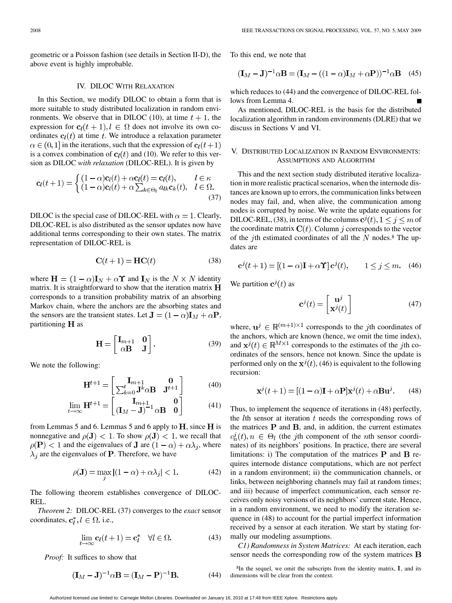geometric or a Poisson fashion (see details in Section II-D), the above event is highly improbable.

#### IV. DILOC WITH RELAXATION

In this Section, we modify DILOC to obtain a form that is more suitable to study distributed localization in random environments. We observe that in DILOC (10), at time  $t + 1$ , the expression for  $c_l(t + 1), l \in \Omega$  does not involve its own coordinates  $c_l(t)$  at time t. We introduce a relaxation parameter  $\alpha \in (0,1]$  in the iterations, such that the expression of  $c_l(t+1)$ is a convex combination of  $c_l(t)$  and (10). We refer to this version as DILOC *with relaxation* (DILOC-REL). It is given by

$$
\mathbf{c}_{l}(t+1) = \begin{cases} (1-\alpha)\mathbf{c}_{l}(t) + \alpha \mathbf{c}_{l}(t) = \mathbf{c}_{l}(t), & l \in \kappa \\ (1-\alpha)\mathbf{c}_{l}(t) + \alpha \sum_{k \in \Theta_{l}} a_{lk} \mathbf{c}_{k}(t), & l \in \Omega. \end{cases}
$$
(37)

DILOC is the special case of DILOC-REL with  $\alpha = 1$ . Clearly, DILOC-REL is also distributed as the sensor updates now have additional terms corresponding to their own states. The matrix representation of DILOC-REL is

$$
\mathbf{C}(t+1) = \mathbf{HC}(t) \tag{38}
$$

where  $\mathbf{H} = (1 - \alpha)\mathbf{I}_N + \alpha \mathbf{\hat{Y}}$  and  $\mathbf{I}_N$  is the  $N \times N$  identity matrix. It is straightforward to show that the iteration matrix  $H$ corresponds to a transition probability matrix of an absorbing Markov chain, where the anchors are the absorbing states and the sensors are the transient states. Let  $\mathbf{J} = (1 - \alpha)\mathbf{I}_M + \alpha \mathbf{P}$ , partitioning  $H$  as

$$
\mathbf{H} = \begin{bmatrix} \mathbf{I}_{m+1} & \mathbf{0} \\ \alpha \mathbf{B} & \mathbf{J} \end{bmatrix} . \tag{39}
$$

We note the following:

$$
\mathbf{H}^{t+1} = \begin{bmatrix} \mathbf{I}_{m+1} & \mathbf{0} \\ \sum_{k=0}^{t} \mathbf{J}^k \alpha \mathbf{B} & \mathbf{J}^{t+1} \end{bmatrix}
$$
(40)

$$
\lim_{t \to \infty} \mathbf{H}^{t+1} = \begin{bmatrix} \mathbf{I}_{m+1} & \mathbf{0} \\ (\mathbf{I}_M - \mathbf{J})^{-1} \alpha \mathbf{B} & \mathbf{0} \end{bmatrix}
$$
(41)

from Lemmas 5 and 6. Lemmas 5 and 6 apply to  $H$ , since  $H$  is nonnegative and  $\rho(\mathbf{J}) < 1$ . To show  $\rho(\mathbf{J}) < 1$ , we recall that  $\rho(\mathbf{P})$  < 1 and the eigenvalues of **J** are  $(1 - \alpha) + \alpha \lambda_i$ , where  $\lambda_i$  are the eigenvalues of **P**. Therefore, we have

$$
\rho(\mathbf{J}) = \max_{j} |(1 - \alpha) + \alpha \lambda_j| < 1. \tag{42}
$$

The following theorem establishes convergence of DILOC-REL.

*Theorem 2:* DILOC-REL (37) converges to the *exact* sensor coordinates,  $\mathbf{c}_i^*, l \in \Omega$ , i.e.,

$$
\lim_{t \to \infty} \mathbf{c}_l(t+1) = \mathbf{c}_l^* \quad \forall l \in \Omega. \tag{43}
$$

*Proof:* It suffices to show that

$$
(\mathbf{I}_M - \mathbf{J})^{-1} \alpha \mathbf{B} = (\mathbf{I}_M - \mathbf{P})^{-1} \mathbf{B}.
$$
 (44)

To this end, we note that

$$
(\mathbf{I}_M - \mathbf{J})^{-1} \alpha \mathbf{B} = (\mathbf{I}_M - ((1 - \alpha)\mathbf{I}_M + \alpha \mathbf{P}))^{-1} \alpha \mathbf{B} \quad (45)
$$

which reduces to (44) and the convergence of DILOC-REL follows from Lemma 4.

As mentioned, DILOC-REL is the basis for the distributed localization algorithm in random environments (DLRE) that we discuss in Sections V and VI.

# V. DISTRIBUTED LOCALIZATION IN RANDOM ENVIRONMENTS: ASSUMPTIONS AND ALGORITHM

This and the next section study distributed iterative localization in more realistic practical scenarios, when the internode distances are known up to errors, the communication links between nodes may fail, and, when alive, the communication among nodes is corrupted by noise. We write the update equations for DILOC-REL, (38), in terms of the columns  $c^{j}(t)$ ,  $1 \leq j \leq m$  of the coordinate matrix  $C(t)$ . Column j corresponds to the vector of the jth estimated coordinates of all the  $N$  nodes.<sup>8</sup> The updates are

$$
\mathbf{c}^{j}(t+1) = [(1-\alpha)\mathbf{I} + \alpha \mathbf{\Upsilon}]\mathbf{c}^{j}(t), \qquad 1 \le j \le m. \tag{46}
$$

We partition  $c^{j}(t)$  as

$$
\mathbf{c}^{j}(t) = \begin{bmatrix} \mathbf{u}^{j} \\ \mathbf{x}^{j}(t) \end{bmatrix}
$$
 (47)

where,  $\mathbf{u}^j \in \mathbb{R}^{(m+1)\times 1}$  corresponds to the *j*th coordinates of the anchors, which are known (hence, we omit the time index), and  $x^{j}(t) \in \mathbb{R}^{M \times 1}$  corresponds to the estimates of the *j*th coordinates of the sensors, hence not known. Since the update is performed only on the  $\mathbf{x}^{j}(t)$ , (46) is equivalent to the following recursion:

$$
\mathbf{x}^{j}(t+1) = [(1-\alpha)\mathbf{I} + \alpha \mathbf{P}]\mathbf{x}^{j}(t) + \alpha \mathbf{B}\mathbf{u}^{j}.
$$
 (48)

Thus, to implement the sequence of iterations in (48) perfectly, the  $l$ th sensor at iteration  $t$  needs the corresponding rows of the matrices  $P$  and  $B$ , and, in addition, the current estimates  $c_n^j(t), n \in \Theta_l$  (the jth component of the *n*th sensor coordinates) of its neighbors' positions. In practice, there are several limitations: i) The computation of the matrices  $P$  and  $B$  requires internode distance computations, which are not perfect in a random environment; ii) the communication channels, or links, between neighboring channels may fail at random times; and iii) because of imperfect communication, each sensor receives only noisy versions of its neighbors' current state. Hence, in a random environment, we need to modify the iteration sequence in (48) to account for the partial imperfect information received by a sensor at each iteration. We start by stating formally our modeling assumptions.

*C1) Randomness in System Matrices:* At each iteration, each sensor needs the corresponding row of the system matrices  $\bf{B}$ 

 ${}^{8}$ In the sequel, we omit the subscripts from the identity matrix, I, and its dimensions will be clear from the context.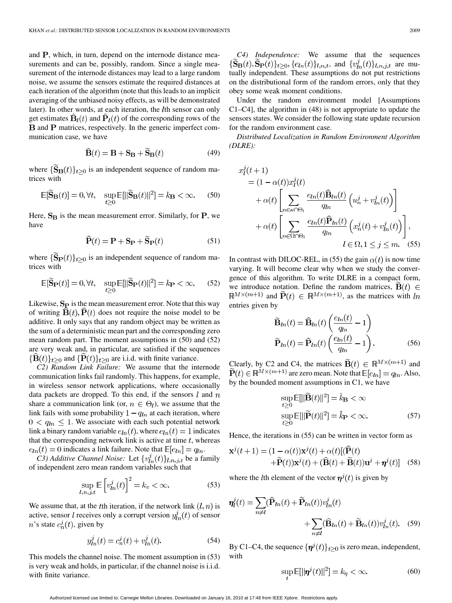and  $P$ , which, in turn, depend on the internode distance measurements and can be, possibly, random. Since a single measurement of the internode distances may lead to a large random noise, we assume the sensors estimate the required distances at each iteration of the algorithm (note that this leads to an implicit averaging of the unbiased noisy effects, as will be demonstrated later). In other words, at each iteration, the  $l$ th sensor can only get estimates  $\dot{\mathbf{B}}_l(t)$  and  $\dot{\mathbf{P}}_l(t)$  of the corresponding rows of the **B** and **P** matrices, respectively. In the generic imperfect communication case, we have

$$
\widehat{\mathbf{B}}(t) = \mathbf{B} + \mathbf{S}_{\mathbf{B}} + \widetilde{\mathbf{S}}_{\mathbf{B}}(t) \tag{49}
$$

where  $\{\tilde{\mathbf{S}}_{\mathbf{B}}(t)\}_{t>0}$  is an independent sequence of random matrices with

$$
\mathbb{E}[\widetilde{\mathbf{S}}_{\mathbf{B}}(t)] = 0, \forall t, \quad \sup_{t \ge 0} \mathbb{E}[\|\widetilde{\mathbf{S}}_{\mathbf{B}}(t)\|^2] = k_{\mathbf{B}} < \infty. \tag{50}
$$

Here,  $S_B$  is the mean measurement error. Similarly, for  $P$ , we have

$$
\widehat{\mathbf{P}}(t) = \mathbf{P} + \mathbf{S}_{\mathbf{P}} + \widetilde{\mathbf{S}}_{\mathbf{P}}(t) \tag{51}
$$

where  $\{\mathbf{S}_{\mathbf{P}}(t)\}_{t\geq 0}$  is an independent sequence of random matrices with

$$
\mathbb{E}[\widetilde{\mathbf{S}}_{\mathbf{P}}(t)] = 0, \forall t, \quad \sup_{t \ge 0} \mathbb{E}[\|\widetilde{\mathbf{S}}_{\mathbf{P}}(t)\|^2] = k_{\mathbf{P}} < \infty. \tag{52}
$$

Likewise,  $S_P$  is the mean measurement error. Note that this way of writing  $\hat{\mathbf{B}}(t), \hat{\mathbf{P}}(t)$  does not require the noise model to be additive. It only says that any random object may be written as the sum of a deterministic mean part and the corresponding zero mean random part. The moment assumptions in (50) and (52) are very weak and, in particular, are satisfied if the sequences  $\{\mathbf{B}(t)\}_t \geq 0$  and  $\{\mathbf{P}(t)\}_t \geq 0$  are i.i.d. with finite variance.

*C2) Random Link Failure:* We assume that the internode communication links fail randomly. This happens, for example, in wireless sensor network applications, where occasionally data packets are dropped. To this end, if the sensors  $l$  and  $n$ share a communication link (or,  $n \in \Theta_l$ ), we assume that the link fails with some probability  $1 - q<sub>ln</sub>$  at each iteration, where  $0 < q_{ln} \leq 1$ . We associate with each such potential network link a binary random variable  $e_{ln}(t)$ , where  $e_{ln}(t) = 1$  indicates that the corresponding network link is active at time  $t$ , whereas  $e_{ln}(t) = 0$  indicates a link failure. Note that  $\mathbb{E}[e_{ln}] = q_{ln}$ .

*C3) Additive Channel Noise:* Let  $\{v^j_{ln}(t)\}_{l,n,j,t}$  be a family of independent zero mean random variables such that

$$
\sup_{l,n,j,t} \mathbb{E}\left[v_{ln}^j(t)\right]^2 = k_v < \infty. \tag{53}
$$

We assume that, at the t<sup>th</sup> iteration, if the network link  $(l, n)$  is active, sensor *l* receives only a corrupt version  $y_{ln}^{j}(t)$  of sensor n's state  $c_n^j(t)$ , given by

$$
y_{ln}^{j}(t) = c_{n}^{j}(t) + v_{ln}^{j}(t).
$$
 (54)

This models the channel noise. The moment assumption in (53) is very weak and holds, in particular, if the channel noise is i.i.d. with finite variance.

*C4) Independence:* We assume that the sequences  $\{S_B(t), S_P(t)\}_{t\geq 0}, \{e_{ln}(t)\}_{l,n,t}$ , and  $\{v_{ln}^j(t)\}_{l,n,j,t}$  are mutually independent. These assumptions do not put restrictions on the distributional form of the random errors, only that they obey some weak moment conditions.

Under the random environment model [Assumptions C1–C4], the algorithm in (48) is not appropriate to update the sensors states. We consider the following state update recursion for the random environment case.

*Distributed Localization in Random Environment Algorithm (DLRE):*

$$
x_l^j(t+1)
$$
  
=  $(1 - \alpha(t))x_l^j(t)$   
+  $\alpha(t) \left[ \sum_{n \in \kappa \cap \Theta_l} \frac{e_{ln}(t)\hat{\mathbf{B}}_{ln}(t)}{q_{ln}} \left( u_n^j + v_{ln}^j(t) \right) \right]$   
+  $\alpha(t) \left[ \sum_{n \in \Omega \cap \Theta_l} \frac{e_{ln}(t)\hat{\mathbf{P}}_{ln}(t)}{q_{ln}} \left( x_n^j(t) + v_{ln}^j(t) \right) \right],$   
 $l \in \Omega, 1 \le j \le m.$  (55)

In contrast with DILOC-REL, in (55) the gain  $\alpha(t)$  is now time varying. It will become clear why when we study the convergence of this algorithm. To write DLRE in a compact form, we introduce notation. Define the random matrices,  $\mathbf{B}(t) \in$  $\mathbb{R}^{M\times(m+1)}$  and  $\tilde{\mathbf{P}}(t) \in \mathbb{R}^{M\times(m+1)}$ , as the matrices with ln entries given by

$$
\widetilde{\mathbf{B}}_{ln}(t) = \widehat{\mathbf{B}}_{ln}(t) \left( \frac{e_{ln}(t)}{q_{ln}} - 1 \right)
$$
\n
$$
\widetilde{\mathbf{P}}_{ln}(t) = \widehat{\mathbf{P}}_{ln}(t) \left( \frac{e_{ln}(t)}{q_{ln}} - 1 \right). \tag{56}
$$

Clearly, by C2 and C4, the matrices  $B(t) \in \mathbb{R}^{M \times (m+1)}$  and are zero mean. Note that  $\mathbb{E}[e_{ln}] = q_{ln}$ . Also, by the bounded moment assumptions in C1, we have

$$
\sup_{t\geq 0} \mathbb{E}[\|\widetilde{\mathbf{B}}(t)\|^2] = \widetilde{k}_{\mathbf{B}} < \infty
$$
  
\n
$$
\sup_{t\geq 0} \mathbb{E}[\|\widetilde{\mathbf{P}}(t)\|^2] = \widetilde{k}_{\mathbf{P}} < \infty.
$$
 (57)

Hence, the iterations in (55) can be written in vector form as

$$
\mathbf{x}^{j}(t+1) = (1 - \alpha(t))\mathbf{x}^{j}(t) + \alpha(t)[(\widehat{\mathbf{P}}(t) + \widetilde{\mathbf{P}}(t))\mathbf{x}^{j}(t) + (\widehat{\mathbf{B}}(t) + \widetilde{\mathbf{B}}(t))\mathbf{u}^{j} + \boldsymbol{\eta}^{j}(t)]
$$
(58)

where the *l*th element of the vector  $\eta^{j}(t)$  is given by

$$
\eta_l^j(t) = \sum_{n \neq l} (\widehat{\mathbf{P}}_{ln}(t) + \widetilde{\mathbf{P}}_{ln}(t)) v_{ln}^j(t) + \sum_{n \neq l} (\widehat{\mathbf{B}}_{ln}(t) + \widetilde{\mathbf{B}}_{ln}(t)) v_{ln}^j(t). \quad (59)
$$

By C1–C4, the sequence  $\{\boldsymbol{\eta}^{j}(t)\}_{t>0}$  is zero mean, independent, with

$$
\sup_{t} \mathbb{E}[\|\boldsymbol{\eta}^{j}(t)\|^{2}] = k_{\eta} < \infty.
$$
 (60)

Authorized licensed use limited to: Carnegie Mellon Libraries. Downloaded on January 16, 2010 at 17:48 from IEEE Xplore. Restrictions apply.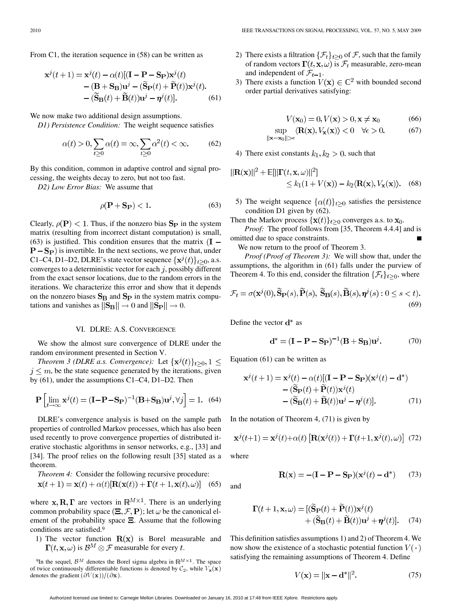From C1, the iteration sequence in (58) can be written as

$$
\mathbf{x}^{j}(t+1) = \mathbf{x}^{j}(t) - \alpha(t)[(\mathbf{I} - \mathbf{P} - \mathbf{S}_{\mathbf{P}})\mathbf{x}^{j}(t) - (\mathbf{B} + \mathbf{S}_{\mathbf{B}})\mathbf{u}^{j} - (\widetilde{\mathbf{S}}_{\mathbf{P}}(t) + \widetilde{\mathbf{P}}(t))\mathbf{x}^{j}(t) - (\widetilde{\mathbf{S}}_{\mathbf{B}}(t) + \widetilde{\mathbf{B}}(t))\mathbf{u}^{j} - \eta^{j}(t)].
$$
\n(61)

We now make two additional design assumptions.

*D1) Persistence Condition:* The weight sequence satisfies

$$
\alpha(t) > 0, \sum_{t \ge 0} \alpha(t) = \infty, \sum_{t \ge 0} \alpha^2(t) < \infty.
$$
 (62)

By this condition, common in adaptive control and signal processing, the weights decay to zero, but not too fast.

*D2) Low Error Bias:* We assume that

$$
\rho(\mathbf{P} + \mathbf{S}_{\mathbf{P}}) < 1. \tag{63}
$$

Clearly,  $\rho(\mathbf{P})$  < 1. Thus, if the nonzero bias  $\mathbf{S}_{\mathbf{P}}$  in the system matrix (resulting from incorrect distant computation) is small, (63) is justified. This condition ensures that the matrix  $(I \bf{P-S_P}$ ) is invertible. In the next sections, we prove that, under C1–C4, D1–D2, DLRE's state vector sequence  $\{x^{j}(t)\}_{t>0}$ , a.s. converges to a deterministic vector for each  $j$ , possibly different from the exact sensor locations, due to the random errors in the iterations. We characterize this error and show that it depends on the nonzero biases  $S_B$  and  $S_P$  in the system matrix computations and vanishes as  $||\mathbf{S}_{\mathbf{B}}|| \rightarrow 0$  and  $||\mathbf{S}_{\mathbf{P}}|| \rightarrow 0$ .

#### VI. DLRE: A.S. CONVERGENCE

We show the almost sure convergence of DLRE under the random environment presented in Section V.

*Theorem 3 (DLRE a.s. Convergence):* Let  $\{x^{j}(t)\}_{t\geq0}$ ,  $1 \leq$  $j \leq m$ , be the state sequence generated by the iterations, given by (61), under the assumptions C1–C4, D1–D2. Then

$$
\mathbf{P}\left[\lim_{t \to \infty} \mathbf{x}^{j}(t) = (\mathbf{I} - \mathbf{P} - \mathbf{S}_{\mathbf{P}})^{-1}(\mathbf{B} + \mathbf{S}_{\mathbf{B}})\mathbf{u}^{j}, \forall j\right] = 1. \tag{64}
$$

DLRE's convergence analysis is based on the sample path properties of controlled Markov processes, which has also been used recently to prove convergence properties of distributed iterative stochastic algorithms in sensor networks, e.g., [33] and [34]. The proof relies on the following result [35] stated as a theorem.

Theorem 4: Consider the following recursive procedure:  
\n
$$
\mathbf{x}(t+1) = \mathbf{x}(t) + \alpha(t)[\mathbf{R}(\mathbf{x}(t)) + \Gamma(t+1, \mathbf{x}(t), \omega)]
$$
 (65)

where  $x, R, \Gamma$  are vectors in  $\mathbb{R}^{M \times 1}$ . There is an underlying common probability space  $(\Xi, \mathcal{F}, P)$ ; let  $\omega$  be the canonical element of the probability space  $\Xi$ . Assume that the following conditions are satisfied.9

1) The vector function  $R(x)$  is Borel measurable and  $\Gamma(t, \mathbf{x}, \omega)$  is  $\mathcal{B}^M \otimes \mathcal{F}$  measurable for every t.

- 2) There exists a filtration  $\{\mathcal{F}_t\}_{t>0}$  of  $\mathcal{F}$ , such that the family of random vectors  $\Gamma(t, \mathbf{x}, \omega)$  is  $\mathcal{F}_t$  measurable, zero-mean and independent of  $\mathcal{F}_{t-1}$ .
- 3) There exists a function  $V(\mathbf{x}) \in \mathbb{C}^2$  with bounded second order partial derivatives satisfying:

$$
V(\mathbf{x}_0) = 0, V(\mathbf{x}) > 0, \mathbf{x} \neq \mathbf{x}_0 \tag{66}
$$

$$
\sup_{\|\mathbf{x}-\mathbf{x}_0\|>\epsilon} \langle \mathbf{R}(\mathbf{x}), V_{\mathbf{x}}(\mathbf{x}) \rangle < 0 \quad \forall \epsilon > 0. \tag{67}
$$

4) There exist constants  $k_1, k_2 > 0$ , such that

$$
|\mathbf{R}(\mathbf{x})|^2 + \mathbb{E}[\|\mathbf{\Gamma}(t, \mathbf{x}, \omega)\|^2] \le k_1(1 + V(\mathbf{x})) - k_2 \langle \mathbf{R}(\mathbf{x}), V_{\mathbf{x}}(\mathbf{x}) \rangle. \tag{68}
$$

5) The weight sequence  $\{\alpha(t)\}_{t>0}$  satisfies the persistence condition D1 given by (62).

Then the Markov process  $\{x(t)\}_{t\geq 0}$  converges a.s. to  $x_0$ .

*Proof:* The proof follows from [35, Theorem 4.4.4] and is omitted due to space constraints.

We now return to the proof of Theorem 3.

*Proof (Proof of Theorem 3):* We will show that, under the assumptions, the algorithm in (61) falls under the purview of Theorem 4. To this end, consider the filtration  $\{\mathcal{F}_t\}_{t>0}$ , where

$$
\mathcal{F}_t = \sigma(\mathbf{x}^j(0), \widetilde{\mathbf{S}}_{\mathbf{P}}(s), \widetilde{\mathbf{P}}(s), \widetilde{\mathbf{S}}_{\mathbf{B}}(s), \widetilde{\mathbf{B}}(s), \boldsymbol{\eta}^j(s) : 0 \le s < t). \tag{69}
$$

Define the vector  $\mathbf{d}^*$  as

$$
d^* = (I - P - S_P)^{-1} (B + S_B) u^j.
$$
 (70)

Equation (61) can be written as

$$
\mathbf{x}^{j}(t+1) = \mathbf{x}^{j}(t) - \alpha(t)[(\mathbf{I} - \mathbf{P} - \mathbf{S}_{\mathbf{P}})(\mathbf{x}^{j}(t) - \mathbf{d}^{*})- (\widetilde{\mathbf{S}}_{\mathbf{P}}(t) + \widetilde{\mathbf{P}}(t))\mathbf{x}^{j}(t)- (\widetilde{\mathbf{S}}_{\mathbf{B}}(t) + \widetilde{\mathbf{B}}(t))\mathbf{u}^{j} - \boldsymbol{\eta}^{j}(t)].
$$
(71)

In the notation of Theorem 4, (71) is given by

$$
\mathbf{x}^{j}(t+1) = \mathbf{x}^{j}(t) + \alpha(t) \left[ \mathbf{R}(\mathbf{x}^{j}(t)) + \mathbf{\Gamma}(t+1, \mathbf{x}^{j}(t), \omega) \right] (72)
$$

where

$$
\mathbf{R}(\mathbf{x}) = -(\mathbf{I} - \mathbf{P} - \mathbf{S}_{\mathbf{P}})(\mathbf{x}^{j}(t) - \mathbf{d}^{*})
$$
 (73)

and

$$
\Gamma(t+1, \mathbf{x}, \omega) = [(\widetilde{\mathbf{S}}_{\mathbf{P}}(t) + \widetilde{\mathbf{P}}(t))\mathbf{x}^{j}(t) + (\widetilde{\mathbf{S}}_{\mathbf{B}}(t) + \widetilde{\mathbf{B}}(t))\mathbf{u}^{j} + \boldsymbol{\eta}^{j}(t)].
$$
 (74)

This definition satisfies assumptions 1) and 2) of Theorem 4. We now show the existence of a stochastic potential function  $V(\cdot)$ satisfying the remaining assumptions of Theorem 4. Define

$$
V(\mathbf{x}) = ||\mathbf{x} - \mathbf{d}^*||^2. \tag{75}
$$

<sup>&</sup>lt;sup>9</sup>In the sequel,  $\mathcal{B}^M$  denotes the Borel sigma algebra in  $\mathbb{R}^{M \times 1}$ . The space of twice continuously differentiable functions is denoted by  $C_2$ , while  $V_{\mathbf{x}}(\mathbf{x})$ denotes the gradient  $\left(\partial V(\mathbf{x})\right)/(\partial \mathbf{x})$ .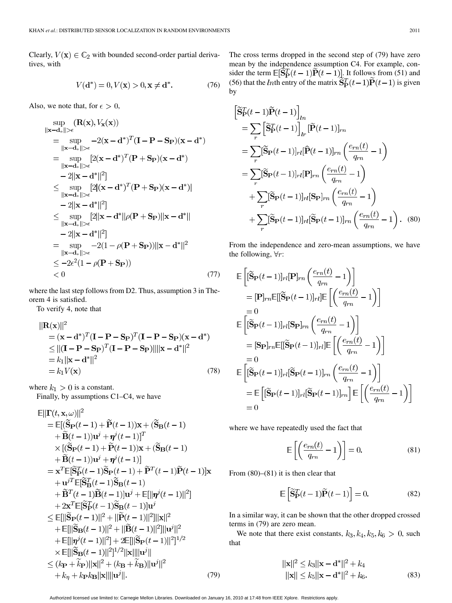Clearly,  $V(\mathbf{x}) \in \mathbb{C}_2$  with bounded second-order partial derivatives, with

$$
V(\mathbf{d}^*) = 0, V(\mathbf{x}) > 0, \mathbf{x} \neq \mathbf{d}^*.
$$
 (76)

Also, we note that, for  $\epsilon > 0$ ,

$$
\sup_{\|\mathbf{x} - \mathbf{d}_*\| > \epsilon} (\mathbf{R}(\mathbf{x}), V_{\mathbf{x}}(\mathbf{x}))
$$
\n
$$
= \sup_{\|\mathbf{x} - \mathbf{d}_*\| > \epsilon} -2(\mathbf{x} - \mathbf{d}^*)^T (\mathbf{I} - \mathbf{P} - \mathbf{S}_{\mathbf{P}}) (\mathbf{x} - \mathbf{d}^*)
$$
\n
$$
= \sup_{\|\mathbf{x} - \mathbf{d}_*\| > \epsilon} [2(\mathbf{x} - \mathbf{d}^*)^T (\mathbf{P} + \mathbf{S}_{\mathbf{P}}) (\mathbf{x} - \mathbf{d}^*)
$$
\n
$$
-2\|\mathbf{x} - \mathbf{d}^*\|^2]
$$
\n
$$
\leq \sup_{\|\mathbf{x} - \mathbf{d}_*\| > \epsilon} [2|(\mathbf{x} - \mathbf{d}^*)^T (\mathbf{P} + \mathbf{S}_{\mathbf{P}}) (\mathbf{x} - \mathbf{d}^*)]
$$
\n
$$
-2\|\mathbf{x} - \mathbf{d}^*\|^2]
$$
\n
$$
\leq \sup_{\|\mathbf{x} - \mathbf{d}_*\| > \epsilon} [2\|\mathbf{x} - \mathbf{d}^*\| \rho (\mathbf{P} + \mathbf{S}_{\mathbf{P}}) \|\mathbf{x} - \mathbf{d}^*\|
$$
\n
$$
-2\|\mathbf{x} - \mathbf{d}^*\|^2]
$$
\n
$$
= \sup_{\|\mathbf{x} - \mathbf{d}_*\| > \epsilon} -2(1 - \rho (\mathbf{P} + \mathbf{S}_{\mathbf{P}})) \|\mathbf{x} - \mathbf{d}^*\|^2
$$
\n
$$
\leq -2\epsilon^2 (1 - \rho (\mathbf{P} + \mathbf{S}_{\mathbf{P}}))
$$
\n
$$
< 0
$$
\n(77)

where the last step follows from D2. Thus, assumption 3 in Theorem 4 is satisfied.

To verify 4, note that

$$
\|\mathbf{R}(\mathbf{x})\|^2
$$
  
=  $(\mathbf{x} - \mathbf{d}^*)^T (\mathbf{I} - \mathbf{P} - \mathbf{S}_{\mathbf{P}})^T (\mathbf{I} - \mathbf{P} - \mathbf{S}_{\mathbf{P}}) (\mathbf{x} - \mathbf{d}^*)$   
\$\leq\$  $||(\mathbf{I} - \mathbf{P} - \mathbf{S}_{\mathbf{P}})^T (\mathbf{I} - \mathbf{P} - \mathbf{S}_{\mathbf{P}})|| ||\mathbf{x} - \mathbf{d}^*||^2$   
=  $k_1 ||\mathbf{x} - \mathbf{d}^*||^2$   
=  $k_1 V(\mathbf{x})$  (78)

where  $k_1 > 0$  is a constant. Finally, by assumptions C1–C4, we have

$$
\mathbb{E}||\mathbf{\Gamma}(t, \mathbf{x}, \omega)||^{2} \n= \mathbb{E}[(\widetilde{\mathbf{S}}\mathbf{p}(t-1) + \widetilde{\mathbf{P}}(t-1))\mathbf{x} + (\widetilde{\mathbf{S}}\mathbf{B}(t-1) \n+ \widetilde{\mathbf{B}}(t-1))\mathbf{u}^{j} + \eta^{j}(t-1)]^{T} \n\times [(\widetilde{\mathbf{S}}\mathbf{p}(t-1) + \widetilde{\mathbf{P}}(t-1))\mathbf{x} + (\widetilde{\mathbf{S}}\mathbf{B}(t-1) \n+ \widetilde{\mathbf{B}}(t-1))\mathbf{u}^{j} + \eta^{j}(t-1)] \n= \mathbf{x}^{T}\mathbb{E}[\widetilde{\mathbf{S}}\mathbf{F}(t-1)\widetilde{\mathbf{S}}\mathbf{p}(t-1) + \widetilde{\mathbf{P}}^{T}(t-1)\widetilde{\mathbf{P}}(t-1)]\mathbf{x} \n+ \mathbf{u}^{jT}\mathbb{E}[\widetilde{\mathbf{S}}\mathbf{B}(t-1)\widetilde{\mathbf{S}}\mathbf{B}(t-1) \n+ \widetilde{\mathbf{B}}^{T}(t-1)\widetilde{\mathbf{B}}(t-1)]\mathbf{u}^{j} + \mathbb{E}[\|\eta^{j}(t-1)\|^{2}] \n+ 2\mathbf{x}^{T}\mathbb{E}[\widetilde{\mathbf{S}}\mathbf{F}(t-1)\widetilde{\mathbf{S}}\mathbf{B}(t-1)]\mathbf{u}^{j} \n\leq \mathbb{E}[\|\widetilde{\mathbf{S}}\mathbf{p}(t-1)\|^{2} + \|\widetilde{\mathbf{P}}(t-1)\|^{2}]\|\mathbf{x}\|^{2} \n+ \mathbb{E}[\|\widetilde{\mathbf{S}}\mathbf{B}(t-1)\|^{2} + \|\widetilde{\mathbf{B}}(t-1)\|^{2}]\|\mathbf{u}^{j}\|^{2} \n+ \mathbb{E}[\|\widetilde{\mathbf{S}}\mathbf{B}(t-1)\|^{2}] + 2\mathbb{E}[\|\widetilde{\mathbf{S}}\mathbf{p}(t-1)\|^{2}]^{1/2} \n\times \math
$$

The cross terms dropped in the second step of (79) have zero mean by the independence assumption C4. For example, consider the term  $\mathbb{E}[\mathbf{S}_{\mathbf{P}}^T(t-1)\mathbf{P}(t-1)]$ . It follows from (51) and (56) that the *ln*th entry of the matrix  $S_P^T(t-1)P(t-1)$  is given by

$$
\tilde{\mathbf{S}}_{\mathbf{P}}^{T}(t-1)\tilde{\mathbf{P}}(t-1)\Big]_{ln}
$$
\n
$$
= \sum_{r} \left[\tilde{\mathbf{S}}_{\mathbf{P}}^{T}(t-1)\right]_{ln} [\tilde{\mathbf{P}}(t-1)]_{rn}
$$
\n
$$
= \sum_{r} [\tilde{\mathbf{S}}_{\mathbf{P}}(t-1)]_{rl} [\hat{\mathbf{P}}(t-1)]_{rn} \left(\frac{e_{rn}(t)}{q_{rn}} - 1\right)
$$
\n
$$
= \sum_{r} [\tilde{\mathbf{S}}_{\mathbf{P}}(t-1)]_{rl} [\mathbf{P}]_{rn} \left(\frac{e_{rn}(t)}{q_{rn}} - 1\right)
$$
\n
$$
+ \sum_{r} [\tilde{\mathbf{S}}_{\mathbf{P}}(t-1)]_{rl} [\mathbf{S}_{\mathbf{P}}]_{rn} \left(\frac{e_{rn}(t)}{q_{rn}} - 1\right)
$$
\n
$$
+ \sum_{r} [\tilde{\mathbf{S}}_{\mathbf{P}}(t-1)]_{rl} [\tilde{\mathbf{S}}_{\mathbf{P}}(t-1)]_{rn} \left(\frac{e_{rn}(t)}{q_{rn}} - 1\right).
$$
\n(80)

From the independence and zero-mean assumptions, we have the following,  $\forall r$ :

$$
\begin{split} & \mathbb{E}\left[ [\widetilde{\mathbf{S}}_{\mathbf{P}}(t-1)]_{rl} [\mathbf{P}]_{rn} \left( \frac{e_{rn}(t)}{q_{rn}} - 1 \right) \right] \\ & = [\mathbf{P}]_{rn} \mathbb{E}[[\widetilde{\mathbf{S}}_{\mathbf{P}}(t-1)]_{rl}] \mathbb{E}\left[ \left( \frac{e_{rn}(t)}{q_{rn}} - 1 \right) \right] \\ & = 0 \\ & \mathbb{E}\left[ [\widetilde{\mathbf{S}}_{\mathbf{P}}(t-1)]_{rl} [\mathbf{S}_{\mathbf{P}}]_{rn} \left( \frac{e_{rn}(t)}{q_{rn}} - 1 \right) \right] \\ & = [\mathbf{S}_{\mathbf{P}}]_{rn} \mathbb{E}[[\widetilde{\mathbf{S}}_{\mathbf{P}}(t-1)]_{rl}] \mathbb{E}\left[ \left( \frac{e_{rn}(t)}{q_{rn}} - 1 \right) \right] \\ & = 0 \\ & \mathbb{E}\left[ [\widetilde{\mathbf{S}}_{\mathbf{P}}(t-1)]_{rl} [\widetilde{\mathbf{S}}_{\mathbf{P}}(t-1)]_{rn} \left( \frac{e_{rn}(t)}{q_{rn}} - 1 \right) \right] \\ & = \mathbb{E}\left[ [\widetilde{\mathbf{S}}_{\mathbf{P}}(t-1)]_{rl} [\widetilde{\mathbf{S}}_{\mathbf{P}}(t-1)]_{rn} \right] \mathbb{E}\left[ \left( \frac{e_{rn}(t)}{q_{rn}} - 1 \right) \right] \\ & = 0 \end{split}
$$

where we have repeatedly used the fact that

$$
\mathbb{E}\left[\left(\frac{e_{rn}(t)}{q_{rn}}-1\right)\right]=0.\tag{81}
$$

From  $(80)$ – $(81)$  it is then clear that

$$
\mathbb{E}\left[\widetilde{\mathbf{S}}_{\mathbf{P}}^T(t-1)\widetilde{\mathbf{P}}(t-1)\right] = 0.
$$
\n(82)

In a similar way, it can be shown that the other dropped crossed terms in (79) are zero mean.

We note that there exist constants,  $k_3, k_4, k_5, k_6 > 0$ , such that

$$
||\mathbf{x}||^2 \le k_3 ||\mathbf{x} - \mathbf{d}^*||^2 + k_4
$$
  
 
$$
||\mathbf{x}|| \le k_5 ||\mathbf{x} - \mathbf{d}^*||^2 + k_6.
$$
 (83)

Authorized licensed use limited to: Carnegie Mellon Libraries. Downloaded on January 16, 2010 at 17:48 from IEEE Xplore. Restrictions apply.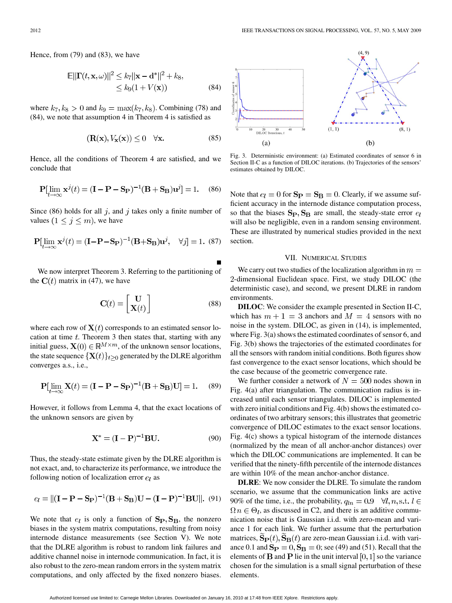Hence, from (79) and (83), we have

$$
\mathbb{E}||\mathbf{\Gamma}(t, \mathbf{x}, \omega)||^2 \le k_7 ||\mathbf{x} - \mathbf{d}^*||^2 + k_8,
$$
  
\n
$$
\le k_9 (1 + V(\mathbf{x})) \tag{84}
$$

where  $k_7, k_8 > 0$  and  $k_9 = \max(k_7, k_8)$ . Combining (78) and (84), we note that assumption 4 in Theorem 4 is satisfied as

$$
(\mathbf{R}(\mathbf{x}), V_{\mathbf{x}}(\mathbf{x})) \le 0 \quad \forall \mathbf{x}.\tag{85}
$$

Hence, all the conditions of Theorem 4 are satisfied, and we conclude that

$$
\mathbf{P}[\lim_{t \to \infty} \mathbf{x}^j(t) = (\mathbf{I} - \mathbf{P} - \mathbf{S}_{\mathbf{P}})^{-1}(\mathbf{B} + \mathbf{S}_{\mathbf{B}})\mathbf{u}^j] = 1. \quad (86)
$$

Since (86) holds for all  $j$ , and  $j$  takes only a finite number of values  $(1 \leq j \leq m)$ , we have

$$
\mathbf{P}[\lim_{t \to \infty} \mathbf{x}^j(t) = (\mathbf{I} - \mathbf{P} - \mathbf{S}_{\mathbf{P}})^{-1}(\mathbf{B} + \mathbf{S}_{\mathbf{B}})\mathbf{u}^j, \quad \forall j] = 1. \tag{87}
$$

We now interpret Theorem 3. Referring to the partitioning of the  $C(t)$  matrix in (47), we have

$$
\mathbf{C}(t) = \begin{bmatrix} \mathbf{U} \\ \mathbf{X}(t) \end{bmatrix} \tag{88}
$$

where each row of  $X(t)$  corresponds to an estimated sensor location at time  $t$ . Theorem 3 then states that, starting with any initial guess,  $X(0) \in \mathbb{R}^{M \times m}$ , of the unknown sensor locations, the state sequence  $\{X(t)\}_{t>0}$  generated by the DLRE algorithm converges a.s., i.e.,

$$
\mathbf{P}[\lim_{t \to \infty} \mathbf{X}(t) = (\mathbf{I} - \mathbf{P} - \mathbf{S}_{\mathbf{P}})^{-1}(\mathbf{B} + \mathbf{S}_{\mathbf{B}})\mathbf{U}] = 1. \quad (89)
$$

However, it follows from Lemma 4, that the exact locations of the unknown sensors are given by

$$
\mathbf{X}^* = (\mathbf{I} - \mathbf{P})^{-1} \mathbf{B} \mathbf{U}.
$$
 (90)

Thus, the steady-state estimate given by the DLRE algorithm is not exact, and, to characterize its performance, we introduce the following notion of localization error  $e_l$  as

$$
e_l = ||(\mathbf{I} - \mathbf{P} - \mathbf{S}_{\mathbf{P}})^{-1}(\mathbf{B} + \mathbf{S}_{\mathbf{B}})\mathbf{U} - (\mathbf{I} - \mathbf{P})^{-1}\mathbf{B}\mathbf{U}||.
$$
 (91)

We note that  $e_l$  is only a function of  $S_P, S_B$ , the nonzero biases in the system matrix computations, resulting from noisy internode distance measurements (see Section V). We note that the DLRE algorithm is robust to random link failures and additive channel noise in internode communication. In fact, it is also robust to the zero-mean random errors in the system matrix computations, and only affected by the fixed nonzero biases.



Fig. 3. Deterministic environment: (a) Estimated coordinates of sensor 6 in Section II-C as a function of DILOC iterations. (b) Trajectories of the sensors' estimates obtained by DILOC.

Note that  $e_l = 0$  for  $S_P = S_B = 0$ . Clearly, if we assume sufficient accuracy in the internode distance computation process, so that the biases  $S_P, S_B$  are small, the steady-state error  $e_l$ will also be negligible, even in a random sensing environment. These are illustrated by numerical studies provided in the next section.

#### VII. NUMERICAL STUDIES

We carry out two studies of the localization algorithm in  $m =$ 2-dimensional Euclidean space. First, we study DILOC (the deterministic case), and second, we present DLRE in random environments.

**DILOC**: We consider the example presented in Section II-C, which has  $m + 1 = 3$  anchors and  $M = 4$  sensors with no noise in the system. DILOC, as given in (14), is implemented, where Fig. 3(a) shows the estimated coordinates of sensor 6, and Fig. 3(b) shows the trajectories of the estimated coordinates for all the sensors with random initial conditions. Both figures show fast convergence to the exact sensor locations, which should be the case because of the geometric convergence rate.

We further consider a network of  $N = 500$  nodes shown in Fig. 4(a) after triangulation. The communication radius is increased until each sensor triangulates. DILOC is implemented with zero initial conditions and Fig. 4(b) shows the estimated coordinates of two arbitrary sensors; this illustrates that geometric convergence of DILOC estimates to the exact sensor locations. Fig. 4(c) shows a typical histogram of the internode distances (normalized by the mean of all anchor-anchor distances) over which the DILOC communications are implemented. It can be verified that the ninety-fifth percentile of the internode distances are within 10% of the mean anchor-anchor distance.

**DLRE**: We now consider the DLRE. To simulate the random scenario, we assume that the communication links are active 90% of the time, i.e., the probability,  $q_{ln} = 0.9 \quad \forall l, n, s.t. l \in$  $\Omega n \in \Theta_l$ , as discussed in C2, and there is an additive communication noise that is Gaussian i.i.d. with zero-mean and variance 1 for each link. We further assume that the perturbation matrices,  $\mathbf{\hat{S}_P}(t)$ ,  $\mathbf{\hat{S}_R}(t)$  are zero-mean Gaussian i.i.d. with variance 0.1 and  $\mathbf{S_P} = 0$ ,  $\mathbf{S_B} = 0$ ; see (49) and (51). Recall that the elements of **B** and **P** lie in the unit interval  $[0, 1]$  so the variance chosen for the simulation is a small signal perturbation of these elements.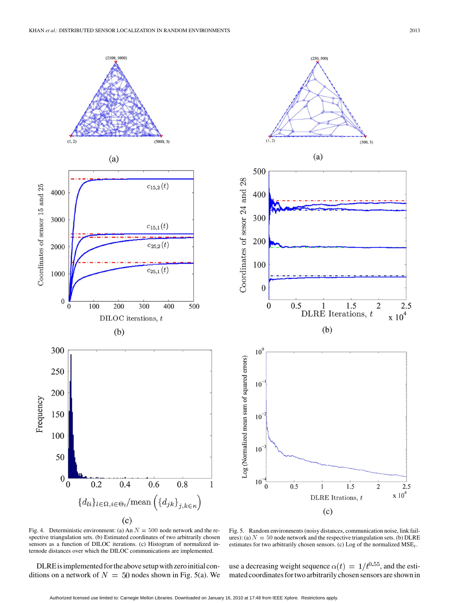

Fig. 4. Deterministic environment: (a) An  $N = 500$  node network and the respective triangulation sets. (b) Estimated coordinates of two arbitrarily chosen sensors as a function of DILOC iterations. (c) Histogram of normalized internode distances over which the DILOC communications are implemented.

DLRE is implemented for the above setup with zero initial conditions on a network of  $N = 50$  nodes shown in Fig. 5(a). We

Fig. 5. Random environments (noisy distances, communication noise, link failures): (a)  $N = 50$  node network and the respective triangulation sets. (b) DLRE estimates for two arbitrarily chosen sensors. (c) Log of the normalized  $MSE_t$ .

use a decreasing weight sequence  $\alpha(t) = 1/t^{0.55}$ , and the estimated coordinates for two arbitrarily chosen sensors are shown in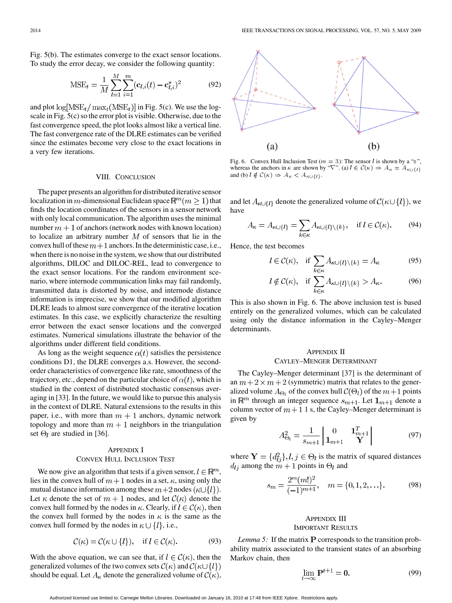Fig. 5(b). The estimates converge to the exact sensor locations. To study the error decay, we consider the following quantity:

$$
MSE_t = \frac{1}{M} \sum_{l=1}^{M} \sum_{i=1}^{m} (\mathbf{c}_{l,i}(t) - \mathbf{c}_{l,i}^*)^2
$$
(92)

and plot  $\log[\text{MSE}_{t}/\text{max}_{t}(\text{MSE}_{t})]$  in Fig. 5(c). We use the logscale in Fig. 5(c) so the error plot is visible. Otherwise, due to the fast convergence speed, the plot looks almost like a vertical line. The fast convergence rate of the DLRE estimates can be verified since the estimates become very close to the exact locations in a very few iterations.

# VIII. CONCLUSION

The paper presents an algorithm for distributed iterative sensor localization in m-dimensional Euclidean space  $\mathbb{R}^m$  ( $m \geq 1$ ) that finds the location coordinates of the sensors in a sensor network with only local communication. The algorithm uses the minimal number  $m + 1$  of anchors (network nodes with known location) to localize an arbitrary number  $M$  of sensors that lie in the convex hull of these  $m+1$  anchors. In the deterministic case, i.e., when there is no noise in the system, we show that our distributed algorithms, DILOC and DILOC-REL, lead to convergence to the exact sensor locations. For the random environment scenario, where internode communication links may fail randomly, transmitted data is distorted by noise, and internode distance information is imprecise, we show that our modified algorithm DLRE leads to almost sure convergence of the iterative location estimates. In this case, we explicitly characterize the resulting error between the exact sensor locations and the converged estimates. Numerical simulations illustrate the behavior of the algorithms under different field conditions.

As long as the weight sequence  $\alpha(t)$  satisfies the persistence conditions D1, the DLRE converges a.s. However, the secondorder characteristics of convergence like rate, smoothness of the trajectory, etc., depend on the particular choice of  $\alpha(t)$ , which is studied in the context of distributed stochastic consensus averaging in [33]. In the future, we would like to pursue this analysis in the context of DLRE. Natural extensions to the results in this paper, i.e., with more than  $m+1$  anchors, dynamic network topology and more than  $m+1$  neighbors in the triangulation set  $\Theta_l$  are studied in [36].

# APPENDIX I CONVEX HULL INCLUSION TEST

We now give an algorithm that tests if a given sensor,  $l \in \mathbb{R}^m$ , lies in the convex hull of  $m+1$  nodes in a set,  $\kappa$ , using only the mutual distance information among these  $m+2$  nodes  $(\kappa \cup \{l\})$ . Let  $\kappa$  denote the set of  $m+1$  nodes, and let  $\mathcal{C}(\kappa)$  denote the convex hull formed by the nodes in  $\kappa$ . Clearly, if  $l \in \mathcal{C}(\kappa)$ , then the convex hull formed by the nodes in  $\kappa$  is the same as the convex hull formed by the nodes in  $\kappa \cup \{l\}$ , i.e.,

$$
\mathcal{C}(\kappa) = \mathcal{C}(\kappa \cup \{l\}), \quad \text{if } l \in \mathcal{C}(\kappa). \tag{93}
$$

With the above equation, we can see that, if  $l \in \mathcal{C}(\kappa)$ , then the generalized volumes of the two convex sets  $\mathcal{C}(\kappa)$  and  $\mathcal{C}(\kappa \cup \{l\})$ should be equal. Let  $A_{\kappa}$  denote the generalized volume of  $\mathcal{C}(\kappa)$ ,



Fig. 6. Convex Hull Inclusion Test ( $m = 3$ ): The sensor l is shown by a "o", whereas the anchors in  $\kappa$  are shown by " $\nabla$ ". (a)  $l \in \mathcal{C}(\kappa) \Rightarrow A_{\kappa} = A$ and (b)  $l \notin \mathcal{C}(\kappa) \Rightarrow A_{\kappa} < A_{\kappa \cup \{l\}}.$ 

and let  $A_{\kappa \cup \{l\}}$  denote the generalized volume of  $\mathcal{C}(\kappa \cup \{l\})$ , we have

$$
A_{\kappa} = A_{\kappa \cup \{l\}} = \sum_{k \in \kappa} A_{\kappa \cup \{l\} \setminus \{k\}}, \quad \text{if } l \in \mathcal{C}(\kappa). \tag{94}
$$

Hence, the test becomes

$$
l \in \mathcal{C}(\kappa), \quad \text{if } \sum_{k \in \kappa} A_{\kappa \cup \{l\} \setminus \{k\}} = A_{\kappa} \tag{95}
$$

$$
l \notin \mathcal{C}(\kappa), \quad \text{if } \sum_{k \in \kappa} A_{\kappa \cup \{l\} \setminus \{k\}} > A_{\kappa}.
$$

This is also shown in Fig. 6. The above inclusion test is based entirely on the generalized volumes, which can be calculated using only the distance information in the Cayley–Menger determinants.

# APPENDIX II CAYLEY–MENGER DETERMINANT

The Cayley–Menger determinant [37] is the determinant of an  $m + 2 \times m + 2$  (symmetric) matrix that relates to the generalized volume  $A_{\Theta_l}$  of the convex hull  $\mathcal{C}(\Theta_l)$  of the  $m+1$  points in  $\mathbb{R}^m$  through an integer sequence  $s_{m+1}$ . Let  $\mathbf{1}_{m+1}$  denote a column vector of  $m + 1$  1 s, the Cayley–Menger determinant is given by

$$
A_{\Theta_l}^2 = \frac{1}{s_{m+1}} \begin{vmatrix} 0 & \mathbf{1}_{m+1}^T \\ \mathbf{1}_{m+1} & \mathbf{Y} \end{vmatrix}
$$
 (97)

where  $Y = \{d_{ij}^2\}, l, j \in \Theta_l$  is the matrix of squared distances  $d_{lj}$  among the  $m+1$  points in  $\Theta_l$  and

$$
s_m = \frac{2^m (m!)^2}{(-1)^{m+1}}, \quad m = \{0, 1, 2, \ldots\}.
$$
 (98)

# APPENDIX III IMPORTANT RESULTS

*Lemma 5:* If the matrix  $P$  corresponds to the transition probability matrix associated to the transient states of an absorbing Markov chain, then

$$
\lim_{t \to \infty} \mathbf{P}^{t+1} = \mathbf{0}.\tag{99}
$$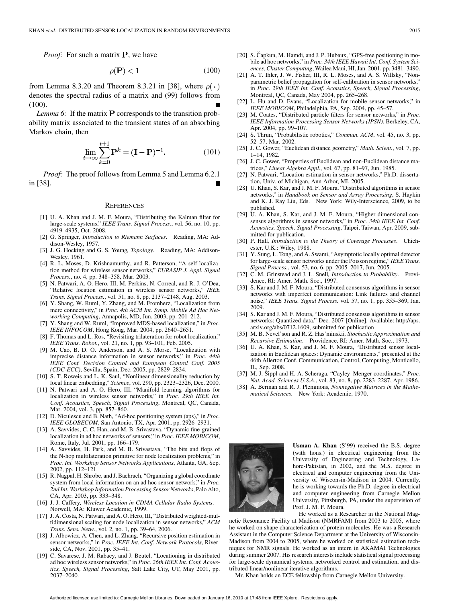*Proof:* For such a matrix **P**, we have

$$
\rho(\mathbf{P}) < 1\tag{100}
$$

from Lemma 8.3.20 and Theorem 8.3.21 in [38], where  $\rho(\cdot)$ denotes the spectral radius of a matrix and (99) follows from (100).

*Lemma 6:* If the matrix  $P$  corresponds to the transition probability matrix associated to the transient states of an absorbing Markov chain, then

$$
\lim_{t \to \infty} \sum_{k=0}^{t+1} \mathbf{P}^k = (\mathbf{I} - \mathbf{P})^{-1}.
$$
 (101)

*Proof:* The proof follows from Lemma 5 and Lemma 6.2.1 in [38].

#### **REFERENCES**

- [1] U. A. Khan and J. M. F. Moura, "Distributing the Kalman filter for large-scale systems," *IEEE Trans. Signal Process.*, vol. 56, no. 10, pp. 4919–4935, Oct. 2008.
- [2] G. Springer*, Introduction to Riemann Surfaces*. Reading, MA: Addison-Wesley, 1957.
- [3] J. G. Hocking and G. S. Young*, Topology*. Reading, MA: Addison-Wesley, 1961.
- [4] R. L. Moses, D. Krishnamurthy, and R. Patterson, "A self-localization method for wireless sensor networks," *EURASIP J. Appl. Signal Process.*, no. 4, pp. 348–358, Mar. 2003.
- [5] N. Patwari, A. O. Hero, III, M. Perkins, N. Correal, and R. J. O'Dea, "Relative location estimation in wireless sensor networks," *IEEE Trans. Signal Process.*, vol. 51, no. 8, pp. 2137–2148, Aug. 2003.
- [6] Y. Shang, W. Ruml, Y. Zhang, and M. Fromherz, "Localization from mere connectivity," in *Proc. 4th ACM Int. Symp. Mobile Ad Hoc Networking Computing*, Annapolis, MD, Jun. 2003, pp. 201–212.
- [7] Y. Shang and W. Ruml, "Improved MDS-based localization," in *Proc. IEEE INFOCOM*, Hong Kong, Mar. 2004, pp. 2640–2651.
- [8] F. Thomas and L. Ros, "Revisiting trilateration for robot localization," *IEEE Trans. Robot.*, vol. 21, no. 1, pp. 93–101, Feb. 2005.
- [9] M. Cao, B. D. O. Anderson, and A. S. Morse, "Localization with imprecise distance information in sensor networks," in *Proc. 44th IEEE Conf. Decision Control and European Control Conf. 2005 (CDC-ECC)*, Sevilla, Spain, Dec. 2005, pp. 2829–2834.
- [10] S. T. Roweis and L. K. Saul, "Nonlinear dimensionality reduction by local linear embedding," *Science*, vol. 290, pp. 2323–2326, Dec. 2000.
- [11] N. Patwari and A. O. Hero, III, "Manifold learning algorithms for localization in wireless sensor networks," in *Proc. 29th IEEE Int. Conf. Acoustics, Speech, Signal Processing*, Montreal, QC, Canada, Mar. 2004, vol. 3, pp. 857–860.
- [12] D. Niculescu and B. Nath, "Ad-hoc positioning system (aps)," in *Proc. IEEE GLOBECOM*, San Antonio, TX, Apr. 2001, pp. 2926–2931.
- [13] A. Savvides, C. C. Han, and M. B. Srivastava, "Dynamic fine-grained localization in ad hoc networks of sensors," in *Proc. IEEE MOBICOM*, Rome, Italy, Jul. 2001, pp. 166–179.
- [14] A. Savvides, H. Park, and M. B. Srivastava, "The bits and flops of the N-hop multilateration primitive for node localization problems," in *Proc. Int. Workshop Sensor Networks Applications*, Atlanta, GA, Sep. 2002, pp. 112–121.
- [15] R. Nagpal, H. Shrobe, and J. Bachrach, "Organizing a global coordinate system from local information on an ad hoc sensor network," in *Proc. 2nd Int. Workshop Information Processing Sensor Networks*, Palo Alto, CA, Apr. 2003, pp. 333–348.
- [16] J. J. Caffery*, Wireless Location in CDMA Cellular Radio Systems*. Norwell, MA: Kluwer Academic, 1999.
- [17] J. A. Costa, N. Patwari, and A. O. Hero, III, "Distributed weighted-multidimensional scaling for node localization in sensor networks," *ACM Trans. Sens. Netw.*, vol. 2, no. 1, pp. 39–64, 2006.
- [18] J. Albowicz, A. Chen, and L. Zhang, "Recursive position estimation in sensor networks," in *Proc. IEEE Int. Conf. Network Protocols*, Riverside, CA, Nov. 2001, pp. 35–41.
- [19] C. Savarese, J. M. Rabaey, and J. Beutel, "Locationing in distributed ad hoc wireless sensor networks," in *Proc. 26th IEEE Int. Conf. Acoustics, Speech, Signal Processing*, Salt Lake City, UT, May 2001, pp. 2037–2040.
- [20] S. Čapkun, M. Hamdi, and J. P. Hubaux, "GPS-free positioning in mobile ad hoc networks," in *Proc. 34th IEEE Hawaii Int. Conf. System Sciences, Cluster Computing*, Wailea Maui, HI, Jan. 2001, pp. 3481–3490.
- [21] A. T. Ihler, J. W. Fisher, III, R. L. Moses, and A. S. Willsky, "Nonparametric belief propagation for self-calibration in sensor networks," in *Proc. 29th IEEE Int. Conf. Acoustics, Speech, Signal Processing*, Montreal, QC, Canada, May 2004, pp. 265–268.
- [22] L. Hu and D. Evans, "Localization for mobile sensor networks," in *IEEE MOBICOM*, Philadelphia, PA, Sep. 2004, pp. 45–57.
- [23] M. Coates, "Distributed particle filters for sensor networks," in *Proc. IEEE Information Processing Sensor Networks (IPSN)*, Berkeley, CA, Apr. 2004, pp. 99–107.
- [24] S. Thrun, "Probabilistic robotics," *Commun. ACM*, vol. 45, no. 3, pp. 52–57, Mar. 2002.
- [25] J. C. Gower, "Euclidean distance geometry," *Math. Scient.*, vol. 7, pp. 1–14, 1982.
- [26] J. C. Gower, "Properties of Euclidean and non-Euclidean distance matrices," *Linear Algebra Appl.*, vol. 67, pp. 81–97, Jun. 1985.
- [27] N. Patwari, "Location estimation in sensor networks," Ph.D. dissertation, Univ. of Michigan, Ann Arbor, MI, 2005.
- [28] U. Khan, S. Kar, and J. M. F. Moura, "Distributed algorithms in sensor networks," in *Handbook on Sensor and Array Processing*, S. Haykin and K. J. Ray Liu, Eds. New York: Wily-Interscience, 2009, to be published.
- [29] U. A. Khan, S. Kar, and J. M. F. Moura, "Higher dimensional consensus algorithms in sensor networks," in *Proc. 34th IEEE Int. Conf. Acoustics, Speech, Signal Processing*, Taipei, Taiwan, Apr. 2009, submitted for publication.
- [30] P. Hall*, Introduction to the Theory of Coverage Processes*. Chichester, U.K.: Wiley, 1988.
- [31] Y. Sung, L. Tong, and A. Swami, "Asymptotic locally optimal detector for large-scale sensor networks under the Poisson regime," *IEEE Trans. Signal Process.*, vol. 53, no. 6, pp. 2005–2017, Jun. 2005.
- [32] C. M. Grinstead and J. L. Snell*, Introduction to Probability*. Providence, RI: Amer. Math. Soc., 1997.
- [33] S. Kar and J. M. F. Moura, "Distributed consensus algorithms in sensor networks with imperfect communication: Link failures and channel noise," *IEEE Trans. Signal Process.* vol. 57, no. 1, pp. 355–369, Jan. 2009.
- [34] S. Kar and J. M. F. Moura, "Distributed consensus algorithms in sensor networks: Quantized data," Dec. 2007 [Online]. Available: http://aps. arxiv.org/abs/0712.1609, submitted for publication
- [35] M. B. Nevel'son and R. Z. Has'minskii*, Stochastic Approximation and Recursive Estimation*. Providence, RI: Amer. Math. Soc., 1973.
- [36] U. A. Khan, S. Kar, and J. M. F. Moura, "Distributed sensor localization in Euclidean spaces: Dynamic environments," presented at the 46th Allerton Conf. Communication, Control, Computing, Monticello, IL, Sep. 2008.
- [37] M. J. Sippl and H. A. Scheraga, "Cayley–Menger coordinates," *Proc. Nat. Acad. Sciences U.S.A.*, vol. 83, no. 8, pp. 2283–2287, Apr. 1986.
- [38] A. Berman and R. J. Plemmons*, Nonnegative Matrices in the Mathematical Sciences*. New York: Academic, 1970.



**Usman A. Khan** (S'99) received the B.S. degree (with hons.) in electrical engineering from the University of Engineering and Technology, Lahore-Pakistan, in 2002, and the M.S. degree in electrical and computer engineering from the University of Wisconsin-Madison in 2004. Currently, he is working towards the Ph.D. degree in electrical and computer engineering from Carnegie Mellon University, Pittsburgh, PA, under the supervision of Prof. J. M. F. Moura.

He worked as a Researcher in the National Mag-

netic Resonance Facility at Madison (NMRFAM) from 2003 to 2005, where he worked on shape characterization of protein molecules. He was a Research Assistant in the Computer Science Department at the University of Wisconsin-Madison from 2004 to 2005, where he worked on statistical estimation techniques for NMR signals. He worked as an intern in AKAMAI Technologies during summer 2007. His research interests include statistical signal processing for large-scale dynamical systems, networked control and estimation, and distributed linear/nonlinear iterative algorithms.

Mr. Khan holds an ECE fellowship from Carnegie Mellon University.